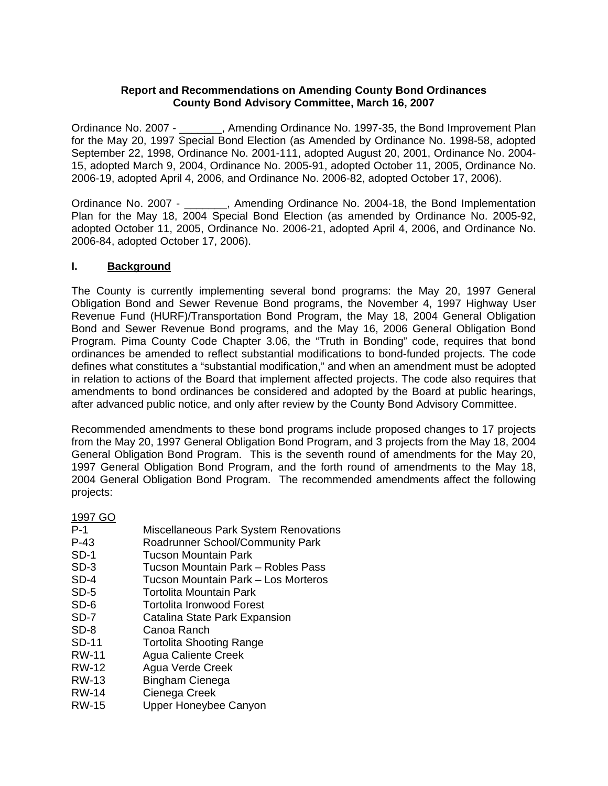## **Report and Recommendations on Amending County Bond Ordinances County Bond Advisory Committee, March 16, 2007**

Ordinance No. 2007 - \_\_\_\_\_\_\_, Amending Ordinance No. 1997-35, the Bond Improvement Plan for the May 20, 1997 Special Bond Election (as Amended by Ordinance No. 1998-58, adopted September 22, 1998, Ordinance No. 2001-111, adopted August 20, 2001, Ordinance No. 2004- 15, adopted March 9, 2004, Ordinance No. 2005-91, adopted October 11, 2005, Ordinance No. 2006-19, adopted April 4, 2006, and Ordinance No. 2006-82, adopted October 17, 2006).

Ordinance No. 2007 - \_\_\_\_\_\_\_, Amending Ordinance No. 2004-18, the Bond Implementation Plan for the May 18, 2004 Special Bond Election (as amended by Ordinance No. 2005-92, adopted October 11, 2005, Ordinance No. 2006-21, adopted April 4, 2006, and Ordinance No. 2006-84, adopted October 17, 2006).

## **I. Background**

The County is currently implementing several bond programs: the May 20, 1997 General Obligation Bond and Sewer Revenue Bond programs, the November 4, 1997 Highway User Revenue Fund (HURF)/Transportation Bond Program, the May 18, 2004 General Obligation Bond and Sewer Revenue Bond programs, and the May 16, 2006 General Obligation Bond Program. Pima County Code Chapter 3.06, the "Truth in Bonding" code, requires that bond ordinances be amended to reflect substantial modifications to bond-funded projects. The code defines what constitutes a "substantial modification," and when an amendment must be adopted in relation to actions of the Board that implement affected projects. The code also requires that amendments to bond ordinances be considered and adopted by the Board at public hearings, after advanced public notice, and only after review by the County Bond Advisory Committee.

Recommended amendments to these bond programs include proposed changes to 17 projects from the May 20, 1997 General Obligation Bond Program, and 3 projects from the May 18, 2004 General Obligation Bond Program. This is the seventh round of amendments for the May 20, 1997 General Obligation Bond Program, and the forth round of amendments to the May 18, 2004 General Obligation Bond Program. The recommended amendments affect the following projects:

## 1997 GO

- P-1 Miscellaneous Park System Renovations
- P-43 Roadrunner School/Community Park
- SD-1 Tucson Mountain Park
- SD-3 Tucson Mountain Park Robles Pass
- SD-4 Tucson Mountain Park Los Morteros
- SD-5 Tortolita Mountain Park
- SD-6 Tortolita Ironwood Forest
- SD-7 Catalina State Park Expansion
- SD-8 Canoa Ranch
- SD-11 Tortolita Shooting Range
- RW-11 Agua Caliente Creek
- RW-12 Agua Verde Creek
- RW-13 Bingham Cienega
- RW-14 Cienega Creek
- RW-15 Upper Honeybee Canyon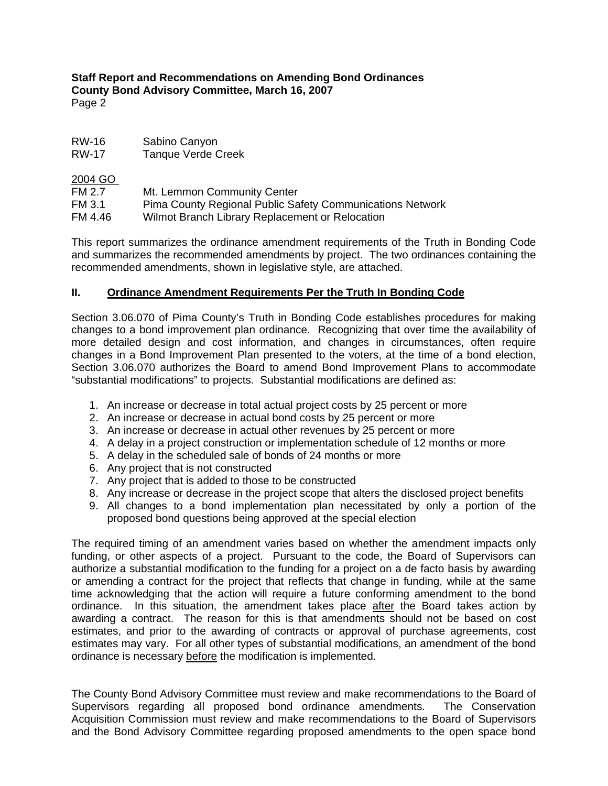| <b>RW-16</b> | Sabino Canyon                                             |
|--------------|-----------------------------------------------------------|
| <b>RW-17</b> | <b>Tanque Verde Creek</b>                                 |
| 2004 GO      |                                                           |
| FM 2.7       | Mt. Lemmon Community Center                               |
| FM 3.1       | Pima County Regional Public Safety Communications Network |
| FM 4.46      | Wilmot Branch Library Replacement or Relocation           |

This report summarizes the ordinance amendment requirements of the Truth in Bonding Code and summarizes the recommended amendments by project. The two ordinances containing the recommended amendments, shown in legislative style, are attached.

# **II. Ordinance Amendment Requirements Per the Truth In Bonding Code**

Section 3.06.070 of Pima County's Truth in Bonding Code establishes procedures for making changes to a bond improvement plan ordinance. Recognizing that over time the availability of more detailed design and cost information, and changes in circumstances, often require changes in a Bond Improvement Plan presented to the voters, at the time of a bond election, Section 3.06.070 authorizes the Board to amend Bond Improvement Plans to accommodate "substantial modifications" to projects. Substantial modifications are defined as:

- 1. An increase or decrease in total actual project costs by 25 percent or more
- 2. An increase or decrease in actual bond costs by 25 percent or more
- 3. An increase or decrease in actual other revenues by 25 percent or more
- 4. A delay in a project construction or implementation schedule of 12 months or more
- 5. A delay in the scheduled sale of bonds of 24 months or more
- 6. Any project that is not constructed
- 7. Any project that is added to those to be constructed
- 8. Any increase or decrease in the project scope that alters the disclosed project benefits
- 9. All changes to a bond implementation plan necessitated by only a portion of the proposed bond questions being approved at the special election

The required timing of an amendment varies based on whether the amendment impacts only funding, or other aspects of a project. Pursuant to the code, the Board of Supervisors can authorize a substantial modification to the funding for a project on a de facto basis by awarding or amending a contract for the project that reflects that change in funding, while at the same time acknowledging that the action will require a future conforming amendment to the bond ordinance. In this situation, the amendment takes place after the Board takes action by awarding a contract. The reason for this is that amendments should not be based on cost estimates, and prior to the awarding of contracts or approval of purchase agreements, cost estimates may vary. For all other types of substantial modifications, an amendment of the bond ordinance is necessary before the modification is implemented.

The County Bond Advisory Committee must review and make recommendations to the Board of Supervisors regarding all proposed bond ordinance amendments. The Conservation Acquisition Commission must review and make recommendations to the Board of Supervisors and the Bond Advisory Committee regarding proposed amendments to the open space bond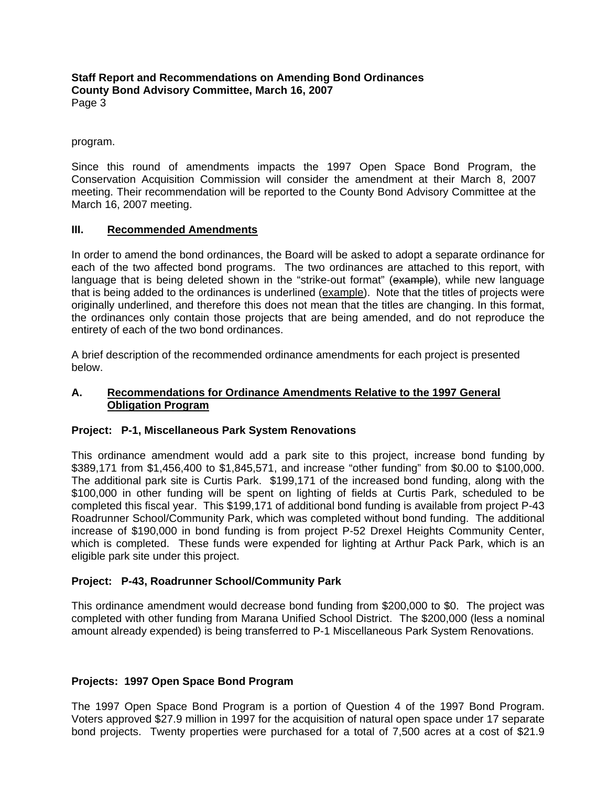program.

Since this round of amendments impacts the 1997 Open Space Bond Program, the Conservation Acquisition Commission will consider the amendment at their March 8, 2007 meeting. Their recommendation will be reported to the County Bond Advisory Committee at the March 16, 2007 meeting.

## **III. Recommended Amendments**

In order to amend the bond ordinances, the Board will be asked to adopt a separate ordinance for each of the two affected bond programs. The two ordinances are attached to this report, with language that is being deleted shown in the "strike-out format" (example), while new language that is being added to the ordinances is underlined (example). Note that the titles of projects were originally underlined, and therefore this does not mean that the titles are changing. In this format, the ordinances only contain those projects that are being amended, and do not reproduce the entirety of each of the two bond ordinances.

A brief description of the recommended ordinance amendments for each project is presented below.

## **A. Recommendations for Ordinance Amendments Relative to the 1997 General Obligation Program**

## **Project: P-1, Miscellaneous Park System Renovations**

This ordinance amendment would add a park site to this project, increase bond funding by \$389,171 from \$1,456,400 to \$1,845,571, and increase "other funding" from \$0.00 to \$100,000. The additional park site is Curtis Park. \$199,171 of the increased bond funding, along with the \$100,000 in other funding will be spent on lighting of fields at Curtis Park, scheduled to be completed this fiscal year. This \$199,171 of additional bond funding is available from project P-43 Roadrunner School/Community Park, which was completed without bond funding. The additional increase of \$190,000 in bond funding is from project P-52 Drexel Heights Community Center, which is completed. These funds were expended for lighting at Arthur Pack Park, which is an eligible park site under this project.

## **Project: P-43, Roadrunner School/Community Park**

This ordinance amendment would decrease bond funding from \$200,000 to \$0. The project was completed with other funding from Marana Unified School District. The \$200,000 (less a nominal amount already expended) is being transferred to P-1 Miscellaneous Park System Renovations.

## **Projects: 1997 Open Space Bond Program**

The 1997 Open Space Bond Program is a portion of Question 4 of the 1997 Bond Program. Voters approved \$27.9 million in 1997 for the acquisition of natural open space under 17 separate bond projects. Twenty properties were purchased for a total of 7,500 acres at a cost of \$21.9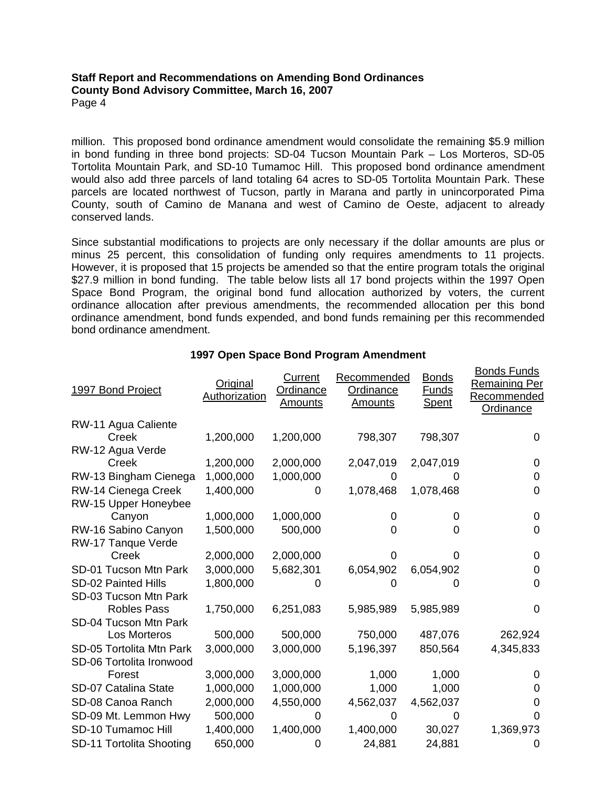million. This proposed bond ordinance amendment would consolidate the remaining \$5.9 million in bond funding in three bond projects: SD-04 Tucson Mountain Park – Los Morteros, SD-05 Tortolita Mountain Park, and SD-10 Tumamoc Hill. This proposed bond ordinance amendment would also add three parcels of land totaling 64 acres to SD-05 Tortolita Mountain Park. These parcels are located northwest of Tucson, partly in Marana and partly in unincorporated Pima County, south of Camino de Manana and west of Camino de Oeste, adjacent to already conserved lands.

Since substantial modifications to projects are only necessary if the dollar amounts are plus or minus 25 percent, this consolidation of funding only requires amendments to 11 projects. However, it is proposed that 15 projects be amended so that the entire program totals the original \$27.9 million in bond funding. The table below lists all 17 bond projects within the 1997 Open Space Bond Program, the original bond fund allocation authorized by voters, the current ordinance allocation after previous amendments, the recommended allocation per this bond ordinance amendment, bond funds expended, and bond funds remaining per this recommended bond ordinance amendment.

| 1997 Bond Project           | Original<br><b>Authorization</b> | Current<br>Ordinance<br>Amounts | Recommended<br>Ordinance<br><u>Amounts</u> | <b>Bonds</b><br><b>Funds</b><br><b>Spent</b> | DUIIUS FUIIUS<br><b>Remaining Per</b><br>Recommended<br><b>Ordinance</b> |
|-----------------------------|----------------------------------|---------------------------------|--------------------------------------------|----------------------------------------------|--------------------------------------------------------------------------|
| RW-11 Agua Caliente         |                                  |                                 |                                            |                                              |                                                                          |
| Creek                       | 1,200,000                        | 1,200,000                       | 798,307                                    | 798,307                                      | 0                                                                        |
| RW-12 Agua Verde            |                                  |                                 |                                            |                                              |                                                                          |
| Creek                       | 1,200,000                        | 2,000,000                       | 2,047,019                                  | 2,047,019                                    | 0                                                                        |
| RW-13 Bingham Cienega       | 1,000,000                        | 1,000,000                       | 0                                          | 0                                            | 0                                                                        |
| RW-14 Cienega Creek         | 1,400,000                        | 0                               | 1,078,468                                  | 1,078,468                                    | 0                                                                        |
| RW-15 Upper Honeybee        |                                  |                                 |                                            |                                              |                                                                          |
| Canyon                      | 1,000,000                        | 1,000,000                       | 0                                          | 0                                            | 0                                                                        |
| RW-16 Sabino Canyon         | 1,500,000                        | 500,000                         | 0                                          | 0                                            | 0                                                                        |
| RW-17 Tanque Verde          |                                  |                                 |                                            |                                              |                                                                          |
| Creek                       | 2,000,000                        | 2,000,000                       |                                            |                                              | 0                                                                        |
| SD-01 Tucson Mtn Park       | 3,000,000                        | 5,682,301                       | 6,054,902                                  | 6,054,902                                    | 0                                                                        |
| <b>SD-02 Painted Hills</b>  | 1,800,000                        | 0                               |                                            |                                              | 0                                                                        |
| SD-03 Tucson Mtn Park       |                                  |                                 |                                            |                                              |                                                                          |
| <b>Robles Pass</b>          | 1,750,000                        | 6,251,083                       | 5,985,989                                  | 5,985,989                                    | 0                                                                        |
| SD-04 Tucson Mtn Park       |                                  |                                 |                                            |                                              |                                                                          |
| Los Morteros                | 500,000                          | 500,000                         | 750,000                                    | 487,076                                      | 262,924                                                                  |
| SD-05 Tortolita Mtn Park    | 3,000,000                        | 3,000,000                       | 5,196,397                                  | 850,564                                      | 4,345,833                                                                |
| SD-06 Tortolita Ironwood    |                                  |                                 |                                            |                                              |                                                                          |
| Forest                      | 3,000,000                        | 3,000,000                       | 1,000                                      | 1,000                                        | 0                                                                        |
| <b>SD-07 Catalina State</b> | 1,000,000                        | 1,000,000                       | 1,000                                      | 1,000                                        | 0                                                                        |
| SD-08 Canoa Ranch           | 2,000,000                        | 4,550,000                       | 4,562,037                                  | 4,562,037                                    | 0                                                                        |
| SD-09 Mt. Lemmon Hwy        | 500,000                          | 0                               | 0                                          | 0                                            |                                                                          |
| SD-10 Tumamoc Hill          | 1,400,000                        | 1,400,000                       | 1,400,000                                  | 30,027                                       | 1,369,973                                                                |
| SD-11 Tortolita Shooting    | 650,000                          | 0                               | 24,881                                     | 24,881                                       |                                                                          |

# **1997 Open Space Bond Program Amendment**

Bonds Funds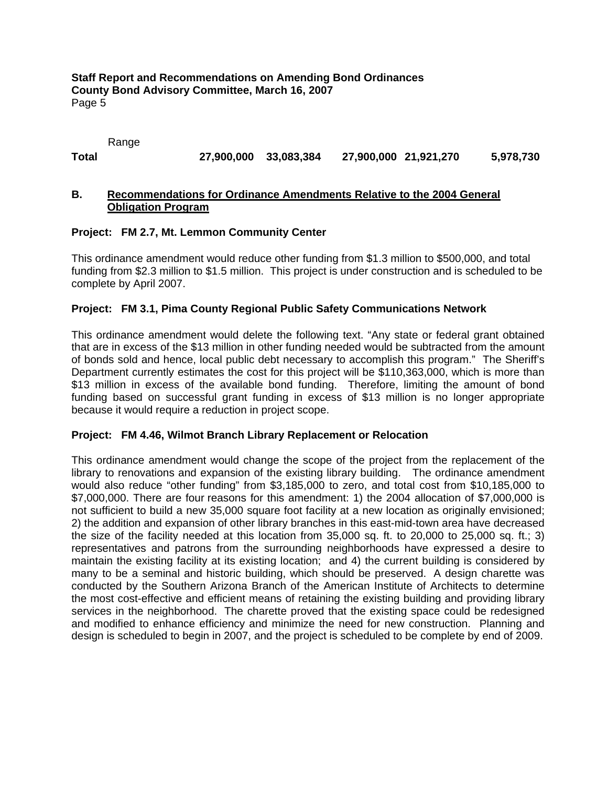Range

**Total 27,900,000 33,083,384 27,900,000 21,921,270 5,978,730** 

# **B. Recommendations for Ordinance Amendments Relative to the 2004 General Obligation Program**

# **Project: FM 2.7, Mt. Lemmon Community Center**

This ordinance amendment would reduce other funding from \$1.3 million to \$500,000, and total funding from \$2.3 million to \$1.5 million. This project is under construction and is scheduled to be complete by April 2007.

## **Project: FM 3.1, Pima County Regional Public Safety Communications Network**

This ordinance amendment would delete the following text. "Any state or federal grant obtained that are in excess of the \$13 million in other funding needed would be subtracted from the amount of bonds sold and hence, local public debt necessary to accomplish this program." The Sheriff's Department currently estimates the cost for this project will be \$110,363,000, which is more than \$13 million in excess of the available bond funding. Therefore, limiting the amount of bond funding based on successful grant funding in excess of \$13 million is no longer appropriate because it would require a reduction in project scope.

## **Project: FM 4.46, Wilmot Branch Library Replacement or Relocation**

This ordinance amendment would change the scope of the project from the replacement of the library to renovations and expansion of the existing library building. The ordinance amendment would also reduce "other funding" from \$3,185,000 to zero, and total cost from \$10,185,000 to \$7,000,000. There are four reasons for this amendment: 1) the 2004 allocation of \$7,000,000 is not sufficient to build a new 35,000 square foot facility at a new location as originally envisioned; 2) the addition and expansion of other library branches in this east-mid-town area have decreased the size of the facility needed at this location from 35,000 sq. ft. to 20,000 to 25,000 sq. ft.; 3) representatives and patrons from the surrounding neighborhoods have expressed a desire to maintain the existing facility at its existing location; and 4) the current building is considered by many to be a seminal and historic building, which should be preserved. A design charette was conducted by the Southern Arizona Branch of the American Institute of Architects to determine the most cost-effective and efficient means of retaining the existing building and providing library services in the neighborhood. The charette proved that the existing space could be redesigned and modified to enhance efficiency and minimize the need for new construction. Planning and design is scheduled to begin in 2007, and the project is scheduled to be complete by end of 2009.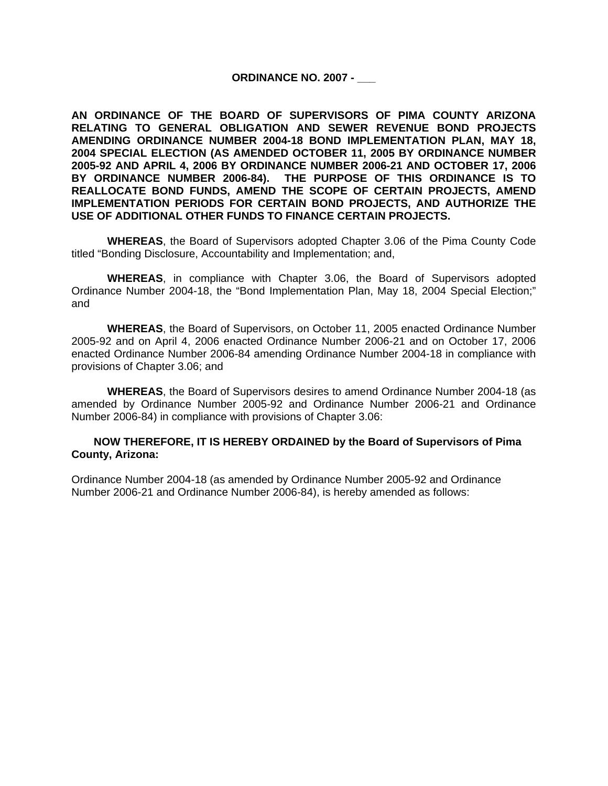#### **ORDINANCE NO. 2007 - \_\_\_**

**AN ORDINANCE OF THE BOARD OF SUPERVISORS OF PIMA COUNTY ARIZONA RELATING TO GENERAL OBLIGATION AND SEWER REVENUE BOND PROJECTS AMENDING ORDINANCE NUMBER 2004-18 BOND IMPLEMENTATION PLAN, MAY 18, 2004 SPECIAL ELECTION (AS AMENDED OCTOBER 11, 2005 BY ORDINANCE NUMBER 2005-92 AND APRIL 4, 2006 BY ORDINANCE NUMBER 2006-21 AND OCTOBER 17, 2006 BY ORDINANCE NUMBER 2006-84). THE PURPOSE OF THIS ORDINANCE IS TO REALLOCATE BOND FUNDS, AMEND THE SCOPE OF CERTAIN PROJECTS, AMEND IMPLEMENTATION PERIODS FOR CERTAIN BOND PROJECTS, AND AUTHORIZE THE USE OF ADDITIONAL OTHER FUNDS TO FINANCE CERTAIN PROJECTS.** 

 **WHEREAS**, the Board of Supervisors adopted Chapter 3.06 of the Pima County Code titled "Bonding Disclosure, Accountability and Implementation; and,

**WHEREAS**, in compliance with Chapter 3.06, the Board of Supervisors adopted Ordinance Number 2004-18, the "Bond Implementation Plan, May 18, 2004 Special Election;" and

**WHEREAS**, the Board of Supervisors, on October 11, 2005 enacted Ordinance Number 2005-92 and on April 4, 2006 enacted Ordinance Number 2006-21 and on October 17, 2006 enacted Ordinance Number 2006-84 amending Ordinance Number 2004-18 in compliance with provisions of Chapter 3.06; and

**WHEREAS**, the Board of Supervisors desires to amend Ordinance Number 2004-18 (as amended by Ordinance Number 2005-92 and Ordinance Number 2006-21 and Ordinance Number 2006-84) in compliance with provisions of Chapter 3.06:

## **NOW THEREFORE, IT IS HEREBY ORDAINED by the Board of Supervisors of Pima County, Arizona:**

Ordinance Number 2004-18 (as amended by Ordinance Number 2005-92 and Ordinance Number 2006-21 and Ordinance Number 2006-84), is hereby amended as follows: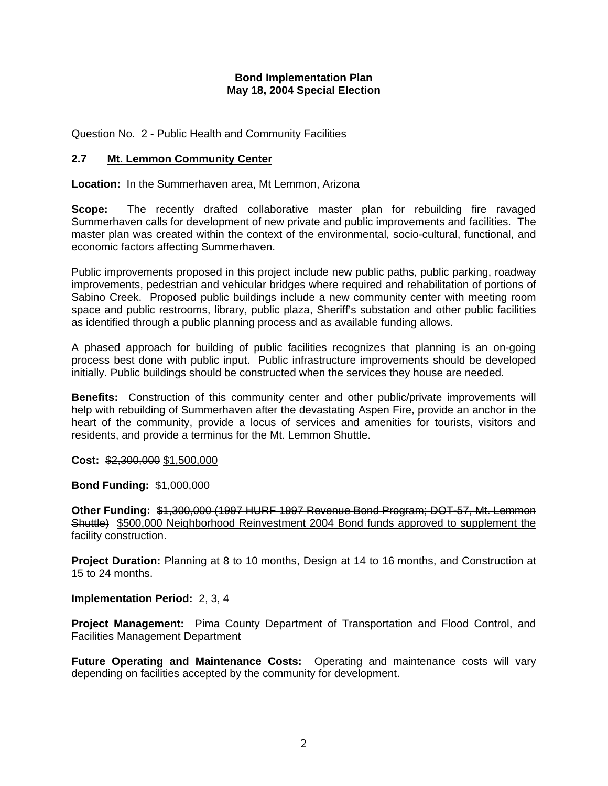## **Bond Implementation Plan May 18, 2004 Special Election**

# Question No. 2 - Public Health and Community Facilities

## **2.7 Mt. Lemmon Community Center**

**Location:** In the Summerhaven area, Mt Lemmon, Arizona

**Scope:** The recently drafted collaborative master plan for rebuilding fire ravaged Summerhaven calls for development of new private and public improvements and facilities. The master plan was created within the context of the environmental, socio-cultural, functional, and economic factors affecting Summerhaven.

Public improvements proposed in this project include new public paths, public parking, roadway improvements, pedestrian and vehicular bridges where required and rehabilitation of portions of Sabino Creek. Proposed public buildings include a new community center with meeting room space and public restrooms, library, public plaza, Sheriff's substation and other public facilities as identified through a public planning process and as available funding allows.

A phased approach for building of public facilities recognizes that planning is an on-going process best done with public input. Public infrastructure improvements should be developed initially. Public buildings should be constructed when the services they house are needed.

**Benefits:** Construction of this community center and other public/private improvements will help with rebuilding of Summerhaven after the devastating Aspen Fire, provide an anchor in the heart of the community, provide a locus of services and amenities for tourists, visitors and residents, and provide a terminus for the Mt. Lemmon Shuttle.

**Cost:** \$2,300,000 \$1,500,000

**Bond Funding:** \$1,000,000

**Other Funding:** \$1,300,000 (1997 HURF 1997 Revenue Bond Program; DOT-57, Mt. Lemmon Shuttle) \$500,000 Neighborhood Reinvestment 2004 Bond funds approved to supplement the facility construction.

**Project Duration:** Planning at 8 to 10 months, Design at 14 to 16 months, and Construction at 15 to 24 months.

**Implementation Period:** 2, 3, 4

**Project Management:** Pima County Department of Transportation and Flood Control, and Facilities Management Department

**Future Operating and Maintenance Costs:** Operating and maintenance costs will vary depending on facilities accepted by the community for development.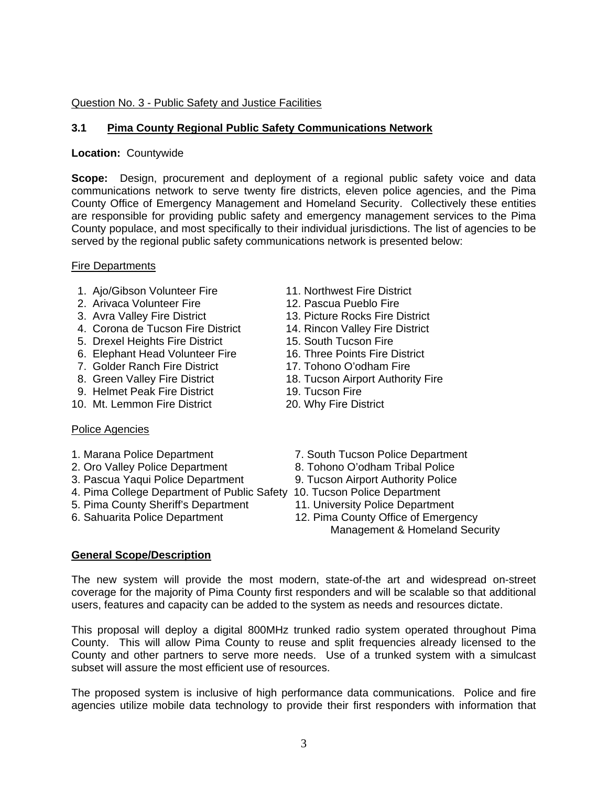# Question No. 3 - Public Safety and Justice Facilities

# **3.1 Pima County Regional Public Safety Communications Network**

## **Location:** Countywide

**Scope:** Design, procurement and deployment of a regional public safety voice and data communications network to serve twenty fire districts, eleven police agencies, and the Pima County Office of Emergency Management and Homeland Security. Collectively these entities are responsible for providing public safety and emergency management services to the Pima County populace, and most specifically to their individual jurisdictions. The list of agencies to be served by the regional public safety communications network is presented below:

## **Fire Departments**

- 1. Ajo/Gibson Volunteer Fire 11. Northwest Fire District<br>2. Arivaca Volunteer Fire 12. Pascua Pueblo Fire
- 2. Arivaca Volunteer Fire
- 
- 4. Corona de Tucson Fire District 14. Rincon Valley Fire District
- 5. Drexel Heights Fire District 15. South Tucson Fire
- 6. Elephant Head Volunteer Fire 16. Three Points Fire District
- 7. Golder Ranch Fire District 17. Tohono O'odham Fire
- 
- 9. Helmet Peak Fire District 19. Tucson Fire
- 10. Mt. Lemmon Fire District 20. Why Fire District

# Police Agencies

- 
- 
- 3. Pascua Yaqui Police Department 9. Tucson Airport Authority Police
- 4. Pima College Department of Public Safety 10. Tucson Police Department
- 5. Pima County Sheriff's Department 11. University Police Department
- 
- 
- 
- 3. Avra Valley Fire District 13. Picture Rocks Fire District
	-
	-
	-
	-
- 8. Green Valley Fire District 18. Tucson Airport Authority Fire
	-
	-
- 1. Marana Police Department 7. South Tucson Police Department
- 2. Oro Valley Police Department 8. Tohono O'odham Tribal Police
	-
	-
	-
- 6. Sahuarita Police Department 12. Pima County Office of Emergency
	- Management & Homeland Security

# **General Scope/Description**

The new system will provide the most modern, state-of-the art and widespread on-street coverage for the majority of Pima County first responders and will be scalable so that additional users, features and capacity can be added to the system as needs and resources dictate.

This proposal will deploy a digital 800MHz trunked radio system operated throughout Pima County. This will allow Pima County to reuse and split frequencies already licensed to the County and other partners to serve more needs. Use of a trunked system with a simulcast subset will assure the most efficient use of resources.

The proposed system is inclusive of high performance data communications. Police and fire agencies utilize mobile data technology to provide their first responders with information that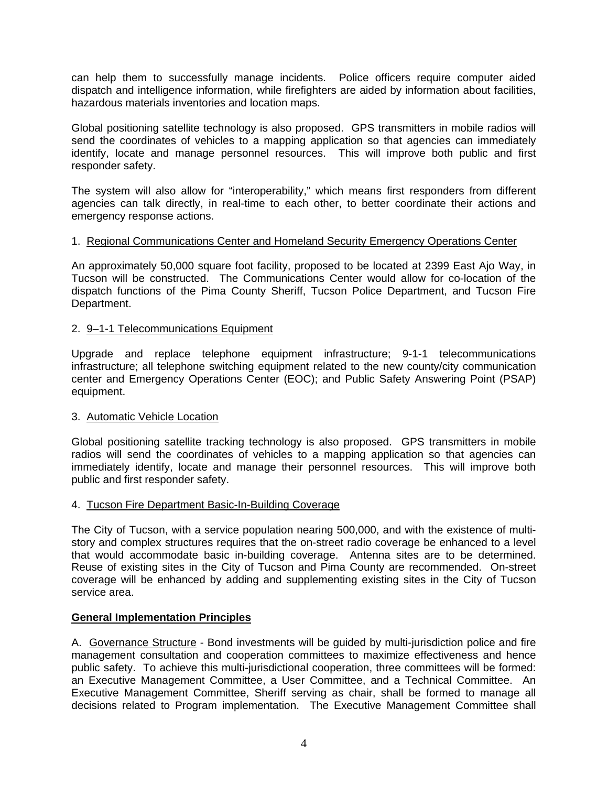can help them to successfully manage incidents. Police officers require computer aided dispatch and intelligence information, while firefighters are aided by information about facilities, hazardous materials inventories and location maps.

Global positioning satellite technology is also proposed. GPS transmitters in mobile radios will send the coordinates of vehicles to a mapping application so that agencies can immediately identify, locate and manage personnel resources. This will improve both public and first responder safety.

The system will also allow for "interoperability," which means first responders from different agencies can talk directly, in real-time to each other, to better coordinate their actions and emergency response actions.

# 1. Regional Communications Center and Homeland Security Emergency Operations Center

An approximately 50,000 square foot facility, proposed to be located at 2399 East Ajo Way, in Tucson will be constructed. The Communications Center would allow for co-location of the dispatch functions of the Pima County Sheriff, Tucson Police Department, and Tucson Fire Department.

## 2. 9–1-1 Telecommunications Equipment

Upgrade and replace telephone equipment infrastructure; 9-1-1 telecommunications infrastructure; all telephone switching equipment related to the new county/city communication center and Emergency Operations Center (EOC); and Public Safety Answering Point (PSAP) equipment.

## 3. Automatic Vehicle Location

Global positioning satellite tracking technology is also proposed. GPS transmitters in mobile radios will send the coordinates of vehicles to a mapping application so that agencies can immediately identify, locate and manage their personnel resources. This will improve both public and first responder safety.

## 4. Tucson Fire Department Basic-In-Building Coverage

The City of Tucson, with a service population nearing 500,000, and with the existence of multistory and complex structures requires that the on-street radio coverage be enhanced to a level that would accommodate basic in-building coverage. Antenna sites are to be determined. Reuse of existing sites in the City of Tucson and Pima County are recommended. On-street coverage will be enhanced by adding and supplementing existing sites in the City of Tucson service area.

## **General Implementation Principles**

A. Governance Structure - Bond investments will be guided by multi-jurisdiction police and fire management consultation and cooperation committees to maximize effectiveness and hence public safety. To achieve this multi-jurisdictional cooperation, three committees will be formed: an Executive Management Committee, a User Committee, and a Technical Committee. An Executive Management Committee, Sheriff serving as chair, shall be formed to manage all decisions related to Program implementation. The Executive Management Committee shall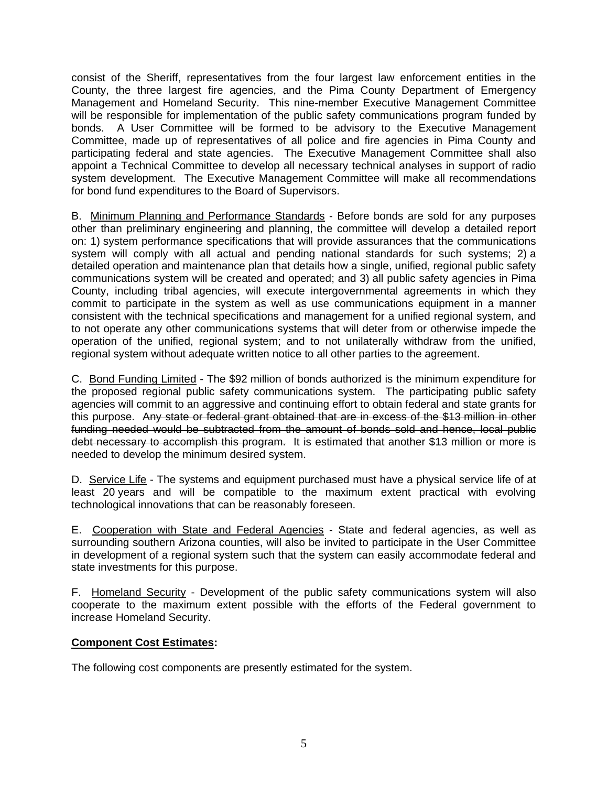consist of the Sheriff, representatives from the four largest law enforcement entities in the County, the three largest fire agencies, and the Pima County Department of Emergency Management and Homeland Security. This nine-member Executive Management Committee will be responsible for implementation of the public safety communications program funded by bonds. A User Committee will be formed to be advisory to the Executive Management Committee, made up of representatives of all police and fire agencies in Pima County and participating federal and state agencies. The Executive Management Committee shall also appoint a Technical Committee to develop all necessary technical analyses in support of radio system development. The Executive Management Committee will make all recommendations for bond fund expenditures to the Board of Supervisors.

B. Minimum Planning and Performance Standards - Before bonds are sold for any purposes other than preliminary engineering and planning, the committee will develop a detailed report on: 1) system performance specifications that will provide assurances that the communications system will comply with all actual and pending national standards for such systems; 2) a detailed operation and maintenance plan that details how a single, unified, regional public safety communications system will be created and operated; and 3) all public safety agencies in Pima County, including tribal agencies, will execute intergovernmental agreements in which they commit to participate in the system as well as use communications equipment in a manner consistent with the technical specifications and management for a unified regional system, and to not operate any other communications systems that will deter from or otherwise impede the operation of the unified, regional system; and to not unilaterally withdraw from the unified, regional system without adequate written notice to all other parties to the agreement.

C. Bond Funding Limited - The \$92 million of bonds authorized is the minimum expenditure for the proposed regional public safety communications system. The participating public safety agencies will commit to an aggressive and continuing effort to obtain federal and state grants for this purpose. Any state or federal grant obtained that are in excess of the \$13 million in other funding needed would be subtracted from the amount of bonds sold and hence, local public debt necessary to accomplish this program. It is estimated that another \$13 million or more is needed to develop the minimum desired system.

D. Service Life - The systems and equipment purchased must have a physical service life of at least 20 years and will be compatible to the maximum extent practical with evolving technological innovations that can be reasonably foreseen.

E. Cooperation with State and Federal Agencies - State and federal agencies, as well as surrounding southern Arizona counties, will also be invited to participate in the User Committee in development of a regional system such that the system can easily accommodate federal and state investments for this purpose.

F. Homeland Security - Development of the public safety communications system will also cooperate to the maximum extent possible with the efforts of the Federal government to increase Homeland Security.

# **Component Cost Estimates:**

The following cost components are presently estimated for the system.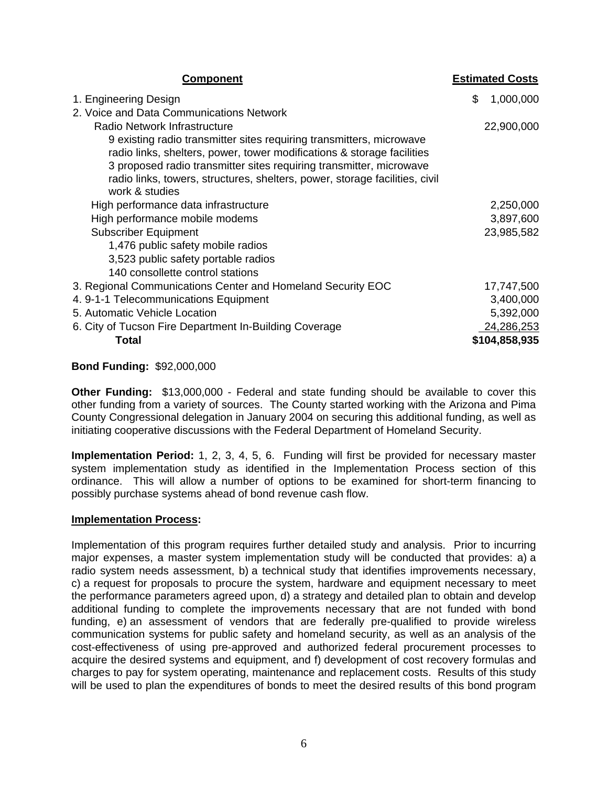| Component                                                                   | <b>Estimated Costs</b> |
|-----------------------------------------------------------------------------|------------------------|
| 1. Engineering Design                                                       | \$<br>1,000,000        |
| 2. Voice and Data Communications Network                                    |                        |
| Radio Network Infrastructure                                                | 22,900,000             |
| 9 existing radio transmitter sites requiring transmitters, microwave        |                        |
| radio links, shelters, power, tower modifications & storage facilities      |                        |
| 3 proposed radio transmitter sites requiring transmitter, microwave         |                        |
| radio links, towers, structures, shelters, power, storage facilities, civil |                        |
| work & studies                                                              |                        |
| High performance data infrastructure                                        | 2,250,000              |
| High performance mobile modems                                              | 3,897,600              |
| <b>Subscriber Equipment</b>                                                 | 23,985,582             |
| 1,476 public safety mobile radios                                           |                        |
| 3,523 public safety portable radios                                         |                        |
| 140 consollette control stations                                            |                        |
| 3. Regional Communications Center and Homeland Security EOC                 | 17,747,500             |
| 4.9-1-1 Telecommunications Equipment                                        | 3,400,000              |
| 5. Automatic Vehicle Location                                               | 5,392,000              |
| 6. City of Tucson Fire Department In-Building Coverage                      | 24,286,253             |
| Total                                                                       | \$104,858,935          |

**Bond Funding:** \$92,000,000

**Other Funding:** \$13,000,000 - Federal and state funding should be available to cover this other funding from a variety of sources. The County started working with the Arizona and Pima County Congressional delegation in January 2004 on securing this additional funding, as well as initiating cooperative discussions with the Federal Department of Homeland Security.

**Implementation Period:** 1, 2, 3, 4, 5, 6. Funding will first be provided for necessary master system implementation study as identified in the Implementation Process section of this ordinance. This will allow a number of options to be examined for short-term financing to possibly purchase systems ahead of bond revenue cash flow.

# **Implementation Process:**

Implementation of this program requires further detailed study and analysis. Prior to incurring major expenses, a master system implementation study will be conducted that provides: a) a radio system needs assessment, b) a technical study that identifies improvements necessary, c) a request for proposals to procure the system, hardware and equipment necessary to meet the performance parameters agreed upon, d) a strategy and detailed plan to obtain and develop additional funding to complete the improvements necessary that are not funded with bond funding, e) an assessment of vendors that are federally pre-qualified to provide wireless communication systems for public safety and homeland security, as well as an analysis of the cost-effectiveness of using pre-approved and authorized federal procurement processes to acquire the desired systems and equipment, and f) development of cost recovery formulas and charges to pay for system operating, maintenance and replacement costs. Results of this study will be used to plan the expenditures of bonds to meet the desired results of this bond program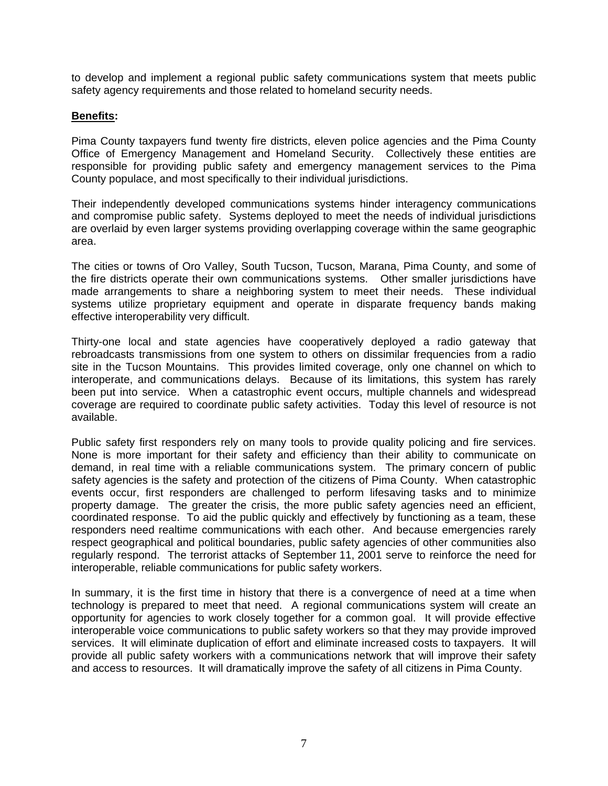to develop and implement a regional public safety communications system that meets public safety agency requirements and those related to homeland security needs.

# **Benefits:**

Pima County taxpayers fund twenty fire districts, eleven police agencies and the Pima County Office of Emergency Management and Homeland Security. Collectively these entities are responsible for providing public safety and emergency management services to the Pima County populace, and most specifically to their individual jurisdictions.

Their independently developed communications systems hinder interagency communications and compromise public safety. Systems deployed to meet the needs of individual jurisdictions are overlaid by even larger systems providing overlapping coverage within the same geographic area.

The cities or towns of Oro Valley, South Tucson, Tucson, Marana, Pima County, and some of the fire districts operate their own communications systems. Other smaller jurisdictions have made arrangements to share a neighboring system to meet their needs. These individual systems utilize proprietary equipment and operate in disparate frequency bands making effective interoperability very difficult.

Thirty-one local and state agencies have cooperatively deployed a radio gateway that rebroadcasts transmissions from one system to others on dissimilar frequencies from a radio site in the Tucson Mountains. This provides limited coverage, only one channel on which to interoperate, and communications delays. Because of its limitations, this system has rarely been put into service. When a catastrophic event occurs, multiple channels and widespread coverage are required to coordinate public safety activities. Today this level of resource is not available.

Public safety first responders rely on many tools to provide quality policing and fire services. None is more important for their safety and efficiency than their ability to communicate on demand, in real time with a reliable communications system. The primary concern of public safety agencies is the safety and protection of the citizens of Pima County. When catastrophic events occur, first responders are challenged to perform lifesaving tasks and to minimize property damage. The greater the crisis, the more public safety agencies need an efficient, coordinated response. To aid the public quickly and effectively by functioning as a team, these responders need realtime communications with each other. And because emergencies rarely respect geographical and political boundaries, public safety agencies of other communities also regularly respond. The terrorist attacks of September 11, 2001 serve to reinforce the need for interoperable, reliable communications for public safety workers.

In summary, it is the first time in history that there is a convergence of need at a time when technology is prepared to meet that need. A regional communications system will create an opportunity for agencies to work closely together for a common goal. It will provide effective interoperable voice communications to public safety workers so that they may provide improved services. It will eliminate duplication of effort and eliminate increased costs to taxpayers. It will provide all public safety workers with a communications network that will improve their safety and access to resources. It will dramatically improve the safety of all citizens in Pima County.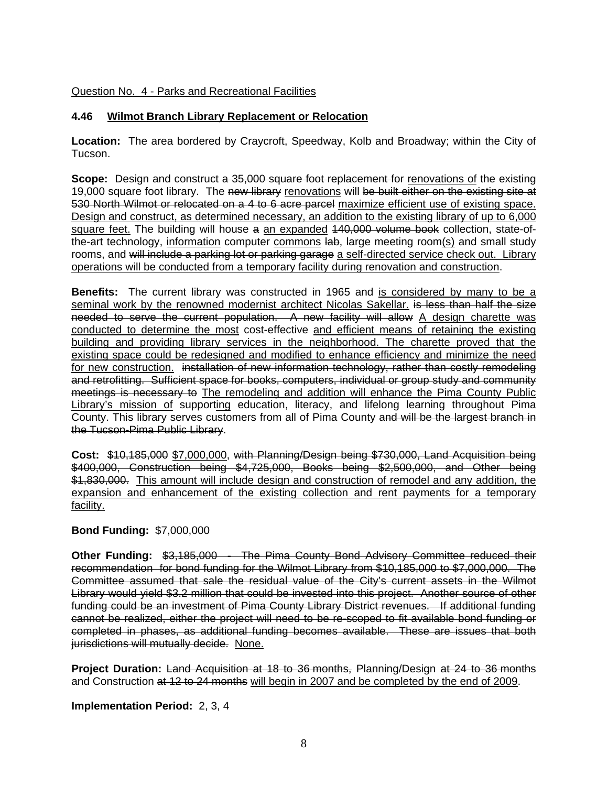## Question No. 4 - Parks and Recreational Facilities

## **4.46 Wilmot Branch Library Replacement or Relocation**

**Location:** The area bordered by Craycroft, Speedway, Kolb and Broadway; within the City of Tucson.

**Scope:** Design and construct a 35,000 square foot replacement for renovations of the existing 19,000 square foot library. The new library renovations will be built either on the existing site at 530 North Wilmot or relocated on a 4 to 6 acre parcel maximize efficient use of existing space. Design and construct, as determined necessary, an addition to the existing library of up to 6,000 square feet. The building will house a an expanded 140,000 volume book collection, state-ofthe-art technology, information computer commons lab, large meeting room(s) and small study rooms, and will include a parking lot or parking garage a self-directed service check out. Library operations will be conducted from a temporary facility during renovation and construction.

**Benefits:** The current library was constructed in 1965 and is considered by many to be a seminal work by the renowned modernist architect Nicolas Sakellar. is less than half the size needed to serve the current population. A new facility will allow A design charette was conducted to determine the most cost-effective and efficient means of retaining the existing building and providing library services in the neighborhood. The charette proved that the existing space could be redesigned and modified to enhance efficiency and minimize the need for new construction. installation of new information technology, rather than costly remodeling and retrofitting. Sufficient space for books, computers, individual or group study and community meetings is necessary to The remodeling and addition will enhance the Pima County Public Library's mission of supporting education, literacy, and lifelong learning throughout Pima County. This library serves customers from all of Pima County and will be the largest branch in the Tucson-Pima Public Library.

**Cost:** \$10,185,000 \$7,000,000, with Planning/Design being \$730,000, Land Acquisition being \$400,000, Construction being \$4,725,000, Books being \$2,500,000, and Other being \$1,830,000. This amount will include design and construction of remodel and any addition, the expansion and enhancement of the existing collection and rent payments for a temporary facility.

# **Bond Funding:** \$7,000,000

**Other Funding:** \$3,185,000 - The Pima County Bond Advisory Committee reduced their recommendation for bond funding for the Wilmot Library from \$10,185,000 to \$7,000,000. The Committee assumed that sale the residual value of the City's current assets in the Wilmot Library would yield \$3.2 million that could be invested into this project. Another source of other funding could be an investment of Pima County Library District revenues. If additional funding cannot be realized, either the project will need to be re-scoped to fit available bond funding or completed in phases, as additional funding becomes available. These are issues that both jurisdictions will mutually decide. None.

**Project Duration:** Land Acquisition at 18 to 36 months, Planning/Design at 24 to 36 months and Construction at 12 to 24 months will begin in 2007 and be completed by the end of 2009.

## **Implementation Period:** 2, 3, 4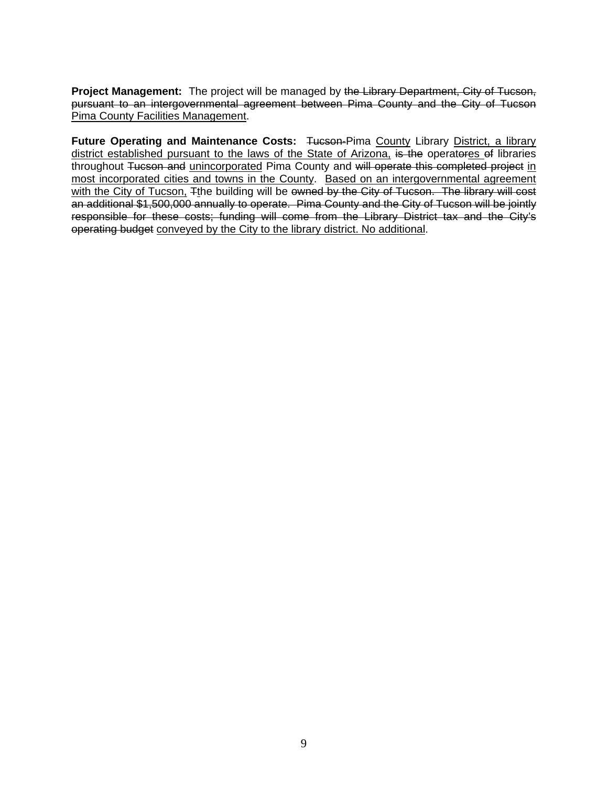**Project Management:** The project will be managed by the Library Department, City of Tucson, pursuant to an intergovernmental agreement between Pima County and the City of Tucson Pima County Facilities Management.

Future Operating and Maintenance Costs: Tueson-Pima County Library District, a library district established pursuant to the laws of the State of Arizona, is the operatores of libraries throughout Tucson and unincorporated Pima County and will operate this completed project in most incorporated cities and towns in the County. Based on an intergovernmental agreement with the City of Tucson, Tthe building will be owned by the City of Tucson. The library will cost an additional \$1,500,000 annually to operate. Pima County and the City of Tucson will be jointly responsible for these costs; funding will come from the Library District tax and the City's operating budget conveyed by the City to the library district. No additional.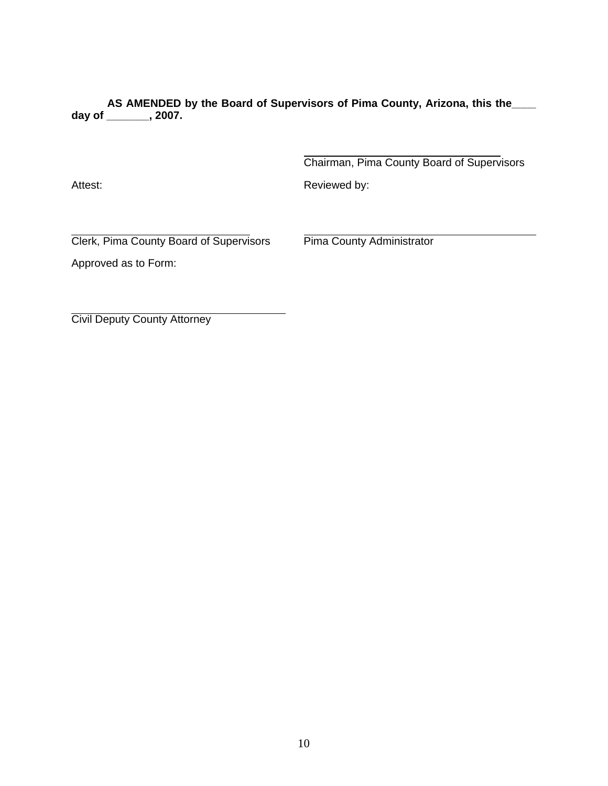**AS AMENDED by the Board of Supervisors of Pima County, Arizona, this the\_\_\_\_ day of \_\_\_\_\_\_\_, 2007.** 

 $\overline{a}$ 

Chairman, Pima County Board of Supervisors Attest: **Reviewed by: Reviewed by:** 

 $\overline{a}$ Clerk, Pima County Board of Supervisors Pima County Administrator

Approved as to Form:

 $\overline{a}$ Civil Deputy County Attorney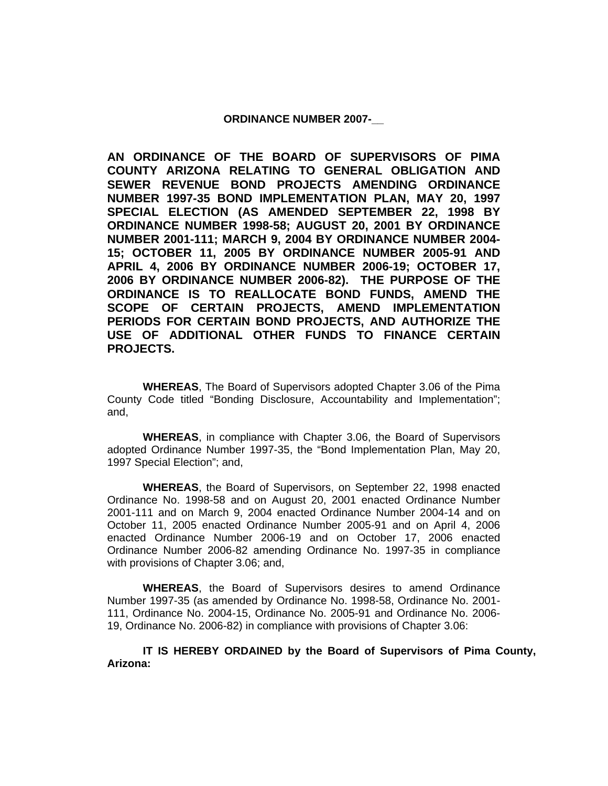#### **ORDINANCE NUMBER 2007-**

**AN ORDINANCE OF THE BOARD OF SUPERVISORS OF PIMA COUNTY ARIZONA RELATING TO GENERAL OBLIGATION AND SEWER REVENUE BOND PROJECTS AMENDING ORDINANCE NUMBER 1997-35 BOND IMPLEMENTATION PLAN, MAY 20, 1997 SPECIAL ELECTION (AS AMENDED SEPTEMBER 22, 1998 BY ORDINANCE NUMBER 1998-58; AUGUST 20, 2001 BY ORDINANCE NUMBER 2001-111; MARCH 9, 2004 BY ORDINANCE NUMBER 2004- 15; OCTOBER 11, 2005 BY ORDINANCE NUMBER 2005-91 AND APRIL 4, 2006 BY ORDINANCE NUMBER 2006-19; OCTOBER 17, 2006 BY ORDINANCE NUMBER 2006-82). THE PURPOSE OF THE ORDINANCE IS TO REALLOCATE BOND FUNDS, AMEND THE SCOPE OF CERTAIN PROJECTS, AMEND IMPLEMENTATION PERIODS FOR CERTAIN BOND PROJECTS, AND AUTHORIZE THE USE OF ADDITIONAL OTHER FUNDS TO FINANCE CERTAIN PROJECTS.** 

**WHEREAS**, The Board of Supervisors adopted Chapter 3.06 of the Pima County Code titled "Bonding Disclosure, Accountability and Implementation"; and,

**WHEREAS**, in compliance with Chapter 3.06, the Board of Supervisors adopted Ordinance Number 1997-35, the "Bond Implementation Plan, May 20, 1997 Special Election"; and,

**WHEREAS**, the Board of Supervisors, on September 22, 1998 enacted Ordinance No. 1998-58 and on August 20, 2001 enacted Ordinance Number 2001-111 and on March 9, 2004 enacted Ordinance Number 2004-14 and on October 11, 2005 enacted Ordinance Number 2005-91 and on April 4, 2006 enacted Ordinance Number 2006-19 and on October 17, 2006 enacted Ordinance Number 2006-82 amending Ordinance No. 1997-35 in compliance with provisions of Chapter 3.06; and,

**WHEREAS**, the Board of Supervisors desires to amend Ordinance Number 1997-35 (as amended by Ordinance No. 1998-58, Ordinance No. 2001- 111, Ordinance No. 2004-15, Ordinance No. 2005-91 and Ordinance No. 2006- 19, Ordinance No. 2006-82) in compliance with provisions of Chapter 3.06:

**IT IS HEREBY ORDAINED by the Board of Supervisors of Pima County, Arizona:**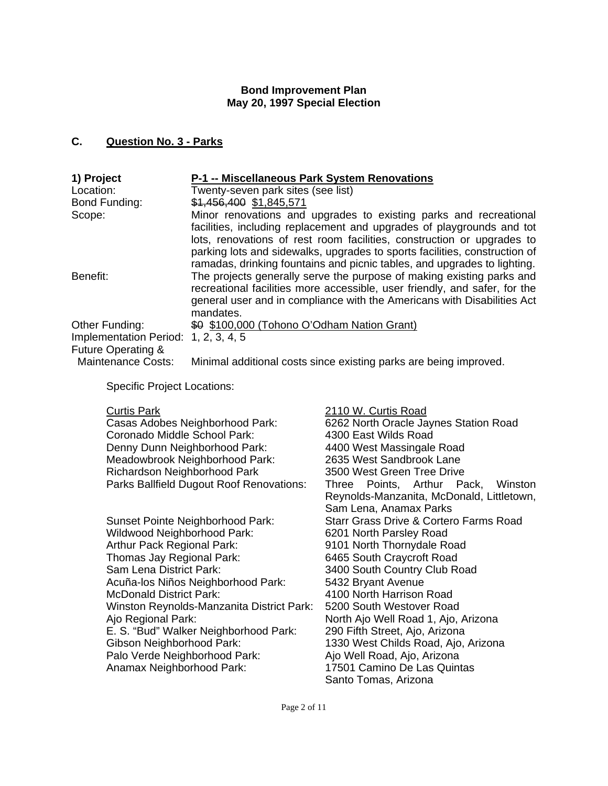## **Bond Improvement Plan May 20, 1997 Special Election**

# **C. Question No. 3 - Parks**

| 1) Project                           | P-1 -- Miscellaneous Park System Renovations                                                                                                                                                                                                |
|--------------------------------------|---------------------------------------------------------------------------------------------------------------------------------------------------------------------------------------------------------------------------------------------|
| Location:                            | Twenty-seven park sites (see list)                                                                                                                                                                                                          |
| Bond Funding:                        | \$1,456,400 \$1,845,571                                                                                                                                                                                                                     |
| Scope:                               | Minor renovations and upgrades to existing parks and recreational<br>facilities, including replacement and upgrades of playgrounds and tot                                                                                                  |
|                                      | lots, renovations of rest room facilities, construction or upgrades to<br>parking lots and sidewalks, upgrades to sports facilities, construction of<br>ramadas, drinking fountains and picnic tables, and upgrades to lighting.            |
| Benefit:                             | The projects generally serve the purpose of making existing parks and<br>recreational facilities more accessible, user friendly, and safer, for the<br>general user and in compliance with the Americans with Disabilities Act<br>mandates. |
| Other Funding:                       | \$0 \$100,000 (Tohono O'Odham Nation Grant)                                                                                                                                                                                                 |
| Implementation Period: 1, 2, 3, 4, 5 |                                                                                                                                                                                                                                             |
| Future Operating &                   |                                                                                                                                                                                                                                             |
| <b>Maintenance Costs:</b>            | Minimal additional costs since existing parks are being improved.                                                                                                                                                                           |

Specific Project Locations:

Casas Adobes Neighborhood Park: 6262 North Oracle Jaynes Station Road Coronado Middle School Park: 4300 East Wilds Road Denny Dunn Neighborhood Park: 4400 West Massingale Road Meadowbrook Neighborhood Park: 2635 West Sandbrook Lane Richardson Neighborhood Park 3500 West Green Tree Drive

Sunset Pointe Neighborhood Park: Starr Grass Drive & Cortero Farms Road Wildwood Neighborhood Park: 6201 North Parsley Road Arthur Pack Regional Park: 9101 North Thornydale Road Thomas Jay Regional Park: 6465 South Craycroft Road Sam Lena District Park: 3400 South Country Club Road Acuña-los Niños Neighborhood Park: 5432 Bryant Avenue McDonald District Park: 4100 North Harrison Road Winston Reynolds-Manzanita District Park: 5200 South Westover Road Ajo Regional Park: North Ajo Well Road 1, Ajo, Arizona E. S. "Bud" Walker Neighborhood Park: 290 Fifth Street, Ajo, Arizona Gibson Neighborhood Park: 1330 West Childs Road, Ajo, Arizona Palo Verde Neighborhood Park: Ajo Well Road, Ajo, Arizona Anamax Neighborhood Park: 17501 Camino De Las Quintas

Curtis Park 2110 W. Curtis Road Parks Ballfield Dugout Roof Renovations: Three Points, Arthur Pack, Winston Reynolds-Manzanita, McDonald, Littletown, Sam Lena, Anamax Parks Santo Tomas, Arizona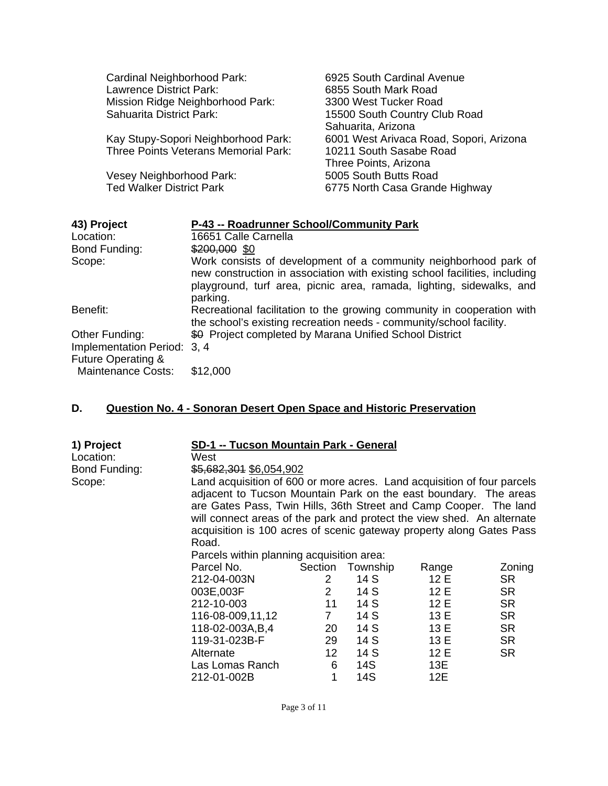| Cardinal Neighborhood Park:          | 6925 South Cardinal Avenue              |
|--------------------------------------|-----------------------------------------|
| Lawrence District Park:              | 6855 South Mark Road                    |
| Mission Ridge Neighborhood Park:     | 3300 West Tucker Road                   |
| <b>Sahuarita District Park:</b>      | 15500 South Country Club Road           |
|                                      | Sahuarita, Arizona                      |
| Kay Stupy-Sopori Neighborhood Park:  | 6001 West Arivaca Road, Sopori, Arizona |
| Three Points Veterans Memorial Park: | 10211 South Sasabe Road                 |
|                                      | Three Points, Arizona                   |
| Vesey Neighborhood Park:             | 5005 South Butts Road                   |
| <b>Ted Walker District Park</b>      | 6775 North Casa Grande Highway          |
|                                      |                                         |
|                                      |                                         |

| 43) Project                 | P-43 -- Roadrunner School/Community Park                                                                                                                                                                                           |  |  |  |  |  |
|-----------------------------|------------------------------------------------------------------------------------------------------------------------------------------------------------------------------------------------------------------------------------|--|--|--|--|--|
| Location:                   | 16651 Calle Carnella                                                                                                                                                                                                               |  |  |  |  |  |
| Bond Funding:               | \$200,000 \$0                                                                                                                                                                                                                      |  |  |  |  |  |
| Scope:                      | Work consists of development of a community neighborhood park of<br>new construction in association with existing school facilities, including<br>playground, turf area, picnic area, ramada, lighting, sidewalks, and<br>parking. |  |  |  |  |  |
| Benefit:                    | Recreational facilitation to the growing community in cooperation with<br>the school's existing recreation needs - community/school facility.                                                                                      |  |  |  |  |  |
| Other Funding:              | \$0 Project completed by Marana Unified School District                                                                                                                                                                            |  |  |  |  |  |
| Implementation Period: 3, 4 |                                                                                                                                                                                                                                    |  |  |  |  |  |
| Future Operating &          |                                                                                                                                                                                                                                    |  |  |  |  |  |
| <b>Maintenance Costs:</b>   | \$12,000                                                                                                                                                                                                                           |  |  |  |  |  |

# **D. Question No. 4 - Sonoran Desert Open Space and Historic Preservation**

| 1) Project    | SD-1 -- Tucson Mountain Park - General                                                                                                                                                                                                                                                                                                                                                                                   |                 |          |       |           |  |  |  |  |
|---------------|--------------------------------------------------------------------------------------------------------------------------------------------------------------------------------------------------------------------------------------------------------------------------------------------------------------------------------------------------------------------------------------------------------------------------|-----------------|----------|-------|-----------|--|--|--|--|
| Location:     | West                                                                                                                                                                                                                                                                                                                                                                                                                     |                 |          |       |           |  |  |  |  |
| Bond Funding: | \$5,682,301 \$6,054,902                                                                                                                                                                                                                                                                                                                                                                                                  |                 |          |       |           |  |  |  |  |
| Scope:        | Land acquisition of 600 or more acres. Land acquisition of four parcels<br>adjacent to Tucson Mountain Park on the east boundary. The areas<br>are Gates Pass, Twin Hills, 36th Street and Camp Cooper. The land<br>will connect areas of the park and protect the view shed. An alternate<br>acquisition is 100 acres of scenic gateway property along Gates Pass<br>Road.<br>Parcels within planning acquisition area: |                 |          |       |           |  |  |  |  |
|               | Parcel No.                                                                                                                                                                                                                                                                                                                                                                                                               | Section         | Township | Range | Zoning    |  |  |  |  |
|               | 212-04-003N                                                                                                                                                                                                                                                                                                                                                                                                              | $\overline{2}$  | 14 S     | 12E   | <b>SR</b> |  |  |  |  |
|               | 003E,003F                                                                                                                                                                                                                                                                                                                                                                                                                | $\overline{2}$  | 14 S     | 12E   | <b>SR</b> |  |  |  |  |
|               | 212-10-003                                                                                                                                                                                                                                                                                                                                                                                                               | 11              | 14 S     | 12E   | SR.       |  |  |  |  |
|               | 116-08-009,11,12                                                                                                                                                                                                                                                                                                                                                                                                         | $7^{\circ}$     | 14 S     | 13 E  | <b>SR</b> |  |  |  |  |
|               | 118-02-003A, B, 4                                                                                                                                                                                                                                                                                                                                                                                                        | 20              | 14S      | 13 E  | <b>SR</b> |  |  |  |  |
|               | 119-31-023B-F                                                                                                                                                                                                                                                                                                                                                                                                            | 29              | 14 S     | 13 E  | <b>SR</b> |  |  |  |  |
|               | Alternate                                                                                                                                                                                                                                                                                                                                                                                                                | 12 <sup>2</sup> | 14 S     | 12E   | <b>SR</b> |  |  |  |  |
|               | Las Lomas Ranch                                                                                                                                                                                                                                                                                                                                                                                                          | 6               | 14S      | 13E   |           |  |  |  |  |
|               | 212-01-002B                                                                                                                                                                                                                                                                                                                                                                                                              | 1               | 14S      | 12E   |           |  |  |  |  |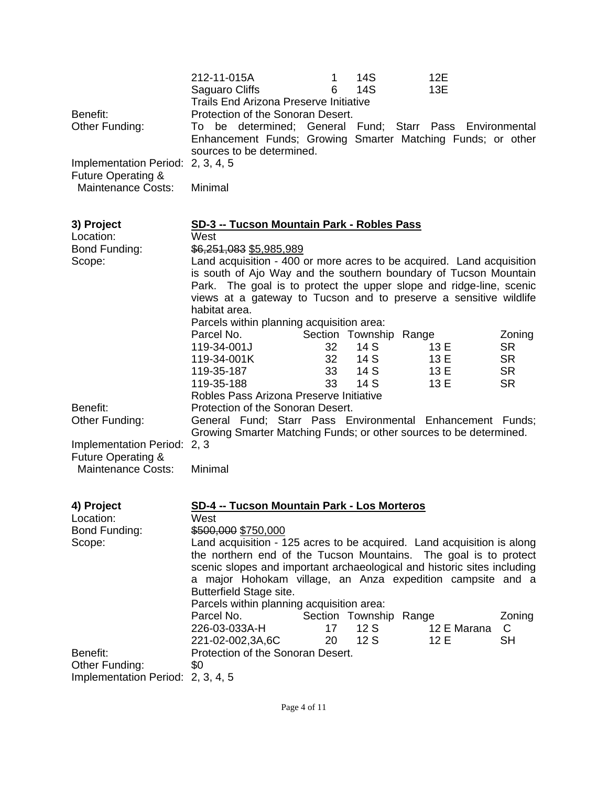|                                                                                                 | 212-11-015A<br>Saguaro Cliffs<br><b>Trails End Arizona Preserve Initiative</b>                                                                                                                                                                                                                                                                                                                                                              | 1<br>6                       | 14S<br>14S                                          | 12E<br>13E                   |                                                            |
|-------------------------------------------------------------------------------------------------|---------------------------------------------------------------------------------------------------------------------------------------------------------------------------------------------------------------------------------------------------------------------------------------------------------------------------------------------------------------------------------------------------------------------------------------------|------------------------------|-----------------------------------------------------|------------------------------|------------------------------------------------------------|
| Benefit:<br>Other Funding:                                                                      | Protection of the Sonoran Desert.<br>To be determined; General<br>Enhancement Funds; Growing Smarter Matching Funds; or other<br>sources to be determined.                                                                                                                                                                                                                                                                                  |                              | Fund; Starr Pass Environmental                      |                              |                                                            |
| Implementation Period: 2, 3, 4, 5<br><b>Future Operating &amp;</b><br><b>Maintenance Costs:</b> | Minimal                                                                                                                                                                                                                                                                                                                                                                                                                                     |                              |                                                     |                              |                                                            |
| 3) Project<br>Location:<br>Bond Funding:<br>Scope:                                              | <b>SD-3 -- Tucson Mountain Park - Robles Pass</b><br>West<br>\$6,251,083 \$5,985,989<br>Land acquisition - 400 or more acres to be acquired. Land acquisition<br>is south of Ajo Way and the southern boundary of Tucson Mountain<br>Park. The goal is to protect the upper slope and ridge-line, scenic<br>views at a gateway to Tucson and to preserve a sensitive wildlife<br>habitat area.<br>Parcels within planning acquisition area: |                              |                                                     |                              |                                                            |
|                                                                                                 | Parcel No.<br>119-34-001J<br>119-34-001K<br>119-35-187<br>119-35-188<br>Robles Pass Arizona Preserve Initiative                                                                                                                                                                                                                                                                                                                             | 32<br>32<br>33<br>33         | Section Township Range<br>14 S<br>14S<br>14S<br>14S | 13 E<br>13 E<br>13 E<br>13 E | Zoning<br><b>SR</b><br><b>SR</b><br><b>SR</b><br><b>SR</b> |
| Benefit:<br>Other Funding:                                                                      | Protection of the Sonoran Desert.<br>General Fund; Starr Pass Environmental Enhancement Funds;<br>Growing Smarter Matching Funds; or other sources to be determined.                                                                                                                                                                                                                                                                        |                              |                                                     |                              |                                                            |
| Implementation Period: 2, 3<br><b>Future Operating &amp;</b><br><b>Maintenance Costs:</b>       | Minimal                                                                                                                                                                                                                                                                                                                                                                                                                                     |                              |                                                     |                              |                                                            |
| 4) Project<br>Location:<br>Bond Funding:                                                        | <u>SD-4 -- Tucson Mountain Park - Los Morteros</u><br>West<br>\$500,000 \$750,000                                                                                                                                                                                                                                                                                                                                                           |                              |                                                     |                              |                                                            |
| Scope:                                                                                          | Land acquisition - 125 acres to be acquired. Land acquisition is along<br>the northern end of the Tucson Mountains. The goal is to protect<br>scenic slopes and important archaeological and historic sites including<br>a major Hohokam village, an Anza expedition campsite and a<br>Butterfield Stage site.<br>Parcels within planning acquisition area:<br>Parcel No.<br>226-03-033A-H<br>221-02-002,3A,6C                              | Section Township<br>17<br>20 | Range<br>12S<br>12S                                 | 12 E Marana<br>12 E          | Zoning<br>C<br><b>SH</b>                                   |
| Benefit:<br>Other Funding:<br>Implementation Period: 2, 3, 4, 5                                 | Protection of the Sonoran Desert.<br>\$0                                                                                                                                                                                                                                                                                                                                                                                                    |                              |                                                     |                              |                                                            |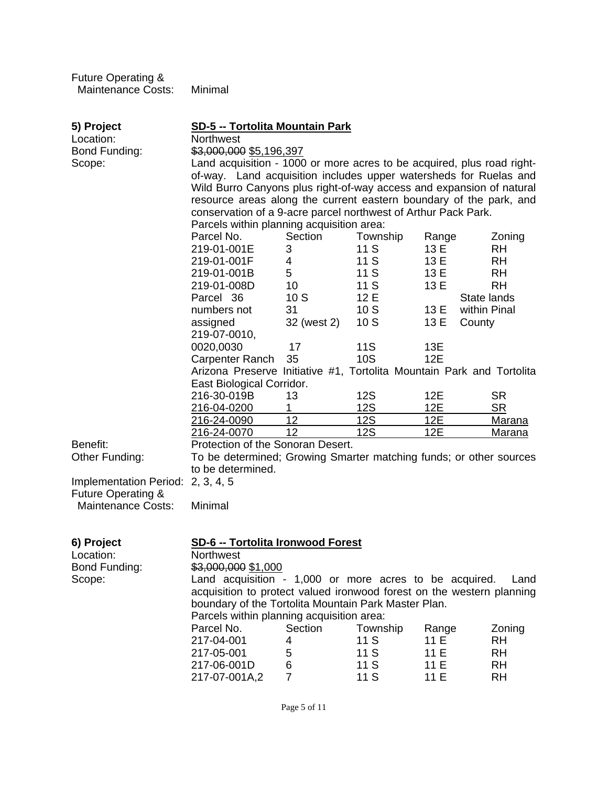Future Operating & Maintenance Costs: Minimal

| 5) Project<br>Location:                                                                                            | SD-5 -- Tortolita Mountain Park<br>Northwest                          |                |            |                |               |  |
|--------------------------------------------------------------------------------------------------------------------|-----------------------------------------------------------------------|----------------|------------|----------------|---------------|--|
| Bond Funding:<br>\$3,000,000 \$5,196,397<br>Land acquisition - 1000 or more acres to be acquired, plus road right- |                                                                       |                |            |                |               |  |
| Scope:                                                                                                             |                                                                       |                |            |                |               |  |
|                                                                                                                    | of-way. Land acquisition includes upper watersheds for Ruelas and     |                |            |                |               |  |
|                                                                                                                    | Wild Burro Canyons plus right-of-way access and expansion of natural  |                |            |                |               |  |
|                                                                                                                    | resource areas along the current eastern boundary of the park, and    |                |            |                |               |  |
|                                                                                                                    | conservation of a 9-acre parcel northwest of Arthur Pack Park.        |                |            |                |               |  |
|                                                                                                                    | Parcels within planning acquisition area:                             |                |            |                |               |  |
|                                                                                                                    | Parcel No.                                                            | Section        | Township   | Range          | Zoning        |  |
|                                                                                                                    | 219-01-001E                                                           | 3              | 11 S       | 13 E           | <b>RH</b>     |  |
|                                                                                                                    | 219-01-001F                                                           | 4              | 11 S       | 13 E           | <b>RH</b>     |  |
|                                                                                                                    | 219-01-001B                                                           | 5              | 11 S       | 13 E           | <b>RH</b>     |  |
|                                                                                                                    | 219-01-008D                                                           | 10             | 11 S       | 13 E           | <b>RH</b>     |  |
|                                                                                                                    | Parcel 36                                                             | 10S            | 12 E       |                | State lands   |  |
|                                                                                                                    | numbers not                                                           | 31             | 10S        | 13 E           | within Pinal  |  |
|                                                                                                                    | assigned                                                              | 32 (west 2)    | 10S        | 13 E<br>County |               |  |
|                                                                                                                    | 219-07-0010,                                                          |                |            |                |               |  |
|                                                                                                                    | 0020,0030                                                             | 17             | 11S        | 13E            |               |  |
|                                                                                                                    | Carpenter Ranch                                                       | 35             | <b>10S</b> | 12E            |               |  |
|                                                                                                                    | Arizona Preserve Initiative #1, Tortolita Mountain Park and Tortolita |                |            |                |               |  |
|                                                                                                                    | East Biological Corridor.                                             |                |            |                |               |  |
|                                                                                                                    | 216-30-019B                                                           | 13             | <b>12S</b> | 12E            | <b>SR</b>     |  |
|                                                                                                                    | 216-04-0200                                                           | 1              | <b>12S</b> | 12E            | <b>SR</b>     |  |
|                                                                                                                    | 216-24-0090                                                           | 12             | <b>12S</b> | 12E            | <b>Marana</b> |  |
|                                                                                                                    | 216-24-0070                                                           | 12             | <b>12S</b> | 12E            | <u>Marana</u> |  |
| Benefit:                                                                                                           | Protection of the Sonoran Desert.                                     |                |            |                |               |  |
| Other Funding:                                                                                                     | To be determined; Growing Smarter matching funds; or other sources    |                |            |                |               |  |
|                                                                                                                    | to be determined.                                                     |                |            |                |               |  |
| Implementation Period: 2, 3, 4, 5<br><b>Future Operating &amp;</b>                                                 |                                                                       |                |            |                |               |  |
| <b>Maintenance Costs:</b>                                                                                          | Minimal                                                               |                |            |                |               |  |
|                                                                                                                    |                                                                       |                |            |                |               |  |
| 6) Project                                                                                                         | SD-6 -- Tortolita Ironwood Forest                                     |                |            |                |               |  |
| Location:                                                                                                          | Northwest                                                             |                |            |                |               |  |
| Bond Funding:                                                                                                      | \$3,000,000 \$1,000                                                   |                |            |                |               |  |
| Scope:                                                                                                             | Land acquisition - 1,000 or more acres to be acquired.                |                |            |                | Land          |  |
|                                                                                                                    | acquisition to protect valued ironwood forest on the western planning |                |            |                |               |  |
|                                                                                                                    | boundary of the Tortolita Mountain Park Master Plan.                  |                |            |                |               |  |
|                                                                                                                    | Parcels within planning acquisition area:                             |                |            |                |               |  |
|                                                                                                                    | Parcel No.                                                            | Section        | Township   | Range          | Zoning        |  |
|                                                                                                                    | 217-04-001                                                            | 4              | 11 S       | 11 E           | <b>RH</b>     |  |
|                                                                                                                    | 217-05-001                                                            | 5              | 11 S       | 11 E           | <b>RH</b>     |  |
|                                                                                                                    | 217-06-001D                                                           | 6              | 11 S       | 11 E           | <b>RH</b>     |  |
|                                                                                                                    |                                                                       | $\overline{7}$ |            |                | <b>RH</b>     |  |
|                                                                                                                    | 217-07-001A,2                                                         |                | 11 S       | 11 E           |               |  |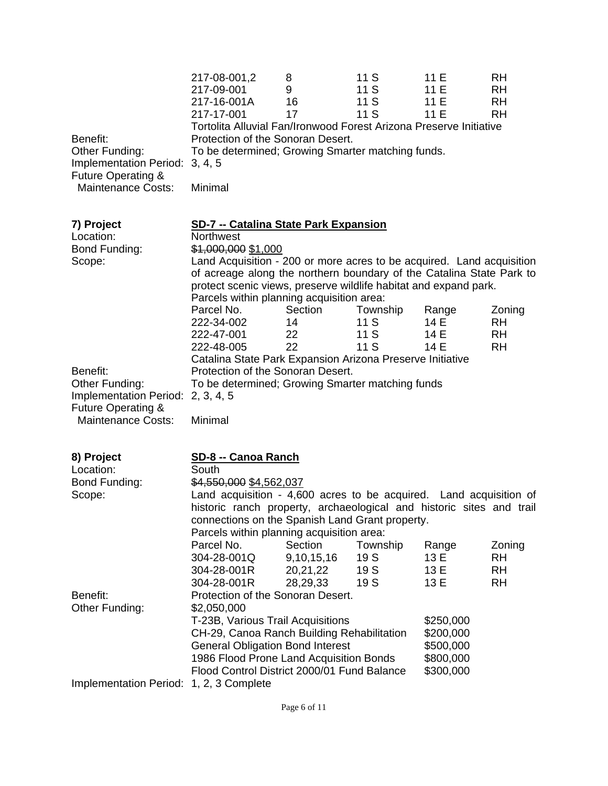| Benefit:<br>Other Funding:<br>Implementation Period: 3, 4, 5<br><b>Future Operating &amp;</b><br><b>Maintenance Costs:</b>    | 217-08-001,2<br>217-09-001<br>217-16-001A<br>217-17-001<br>Tortolita Alluvial Fan/Ironwood Forest Arizona Preserve Initiative<br>Protection of the Sonoran Desert.<br>To be determined; Growing Smarter matching funds.<br>Minimal                                                                                                                 | 8<br>9<br>16<br>17                            | 11 S<br>11 S<br>11 S<br>11 S                | 11 E<br>11 E<br>11 E<br>11 E                                  | <b>RH</b><br><b>RH</b><br><b>RH</b><br><b>RH</b> |
|-------------------------------------------------------------------------------------------------------------------------------|----------------------------------------------------------------------------------------------------------------------------------------------------------------------------------------------------------------------------------------------------------------------------------------------------------------------------------------------------|-----------------------------------------------|---------------------------------------------|---------------------------------------------------------------|--------------------------------------------------|
| 7) Project<br>Location:<br>Bond Funding:<br>Scope:                                                                            | <b>SD-7 -- Catalina State Park Expansion</b><br>Northwest<br>\$1,000,000 \$1,000<br>Land Acquisition - 200 or more acres to be acquired. Land acquisition<br>of acreage along the northern boundary of the Catalina State Park to<br>protect scenic views, preserve wildlife habitat and expand park.<br>Parcels within planning acquisition area: |                                               |                                             |                                                               |                                                  |
|                                                                                                                               | Parcel No.<br>222-34-002<br>222-47-001<br>222-48-005                                                                                                                                                                                                                                                                                               | Section<br>14<br>22<br>22                     | Township<br>11 S<br>11 S<br>11 S            | Range<br>14 E<br>14 E<br>14 E                                 | Zoning<br><b>RH</b><br><b>RH</b><br><b>RH</b>    |
| Benefit:<br>Other Funding:<br>Implementation Period: 2, 3, 4, 5<br><b>Future Operating &amp;</b><br><b>Maintenance Costs:</b> | Catalina State Park Expansion Arizona Preserve Initiative<br>Protection of the Sonoran Desert.<br>To be determined; Growing Smarter matching funds<br>Minimal                                                                                                                                                                                      |                                               |                                             |                                                               |                                                  |
| 8) Project<br>Location:<br>Bond Funding:<br>Scope:                                                                            | <u>SD-8 -- Canoa Ranch</u><br>South<br>\$4,550,000 \$4,562,037<br>Land acquisition - 4,600 acres to be acquired. Land acquisition of<br>historic ranch property, archaeological and historic sites and trail<br>connections on the Spanish Land Grant property.                                                                                    |                                               |                                             |                                                               |                                                  |
| Benefit:                                                                                                                      | Parcels within planning acquisition area:<br>Parcel No.<br>304-28-001Q<br>304-28-001R<br>304-28-001R<br>Protection of the Sonoran Desert.                                                                                                                                                                                                          | Section<br>9,10,15,16<br>20,21,22<br>28,29,33 | Township<br>19 S<br>19 S<br>19 <sub>S</sub> | Range<br>13 E<br>13 E<br>13 E                                 | Zoning<br><b>RH</b><br><b>RH</b><br><b>RH</b>    |
| Other Funding:                                                                                                                | \$2,050,000<br>T-23B, Various Trail Acquisitions<br>CH-29, Canoa Ranch Building Rehabilitation<br><b>General Obligation Bond Interest</b><br>1986 Flood Prone Land Acquisition Bonds<br>Flood Control District 2000/01 Fund Balance                                                                                                                |                                               |                                             | \$250,000<br>\$200,000<br>\$500,000<br>\$800,000<br>\$300,000 |                                                  |
| Implementation Period: 1, 2, 3 Complete                                                                                       |                                                                                                                                                                                                                                                                                                                                                    |                                               |                                             |                                                               |                                                  |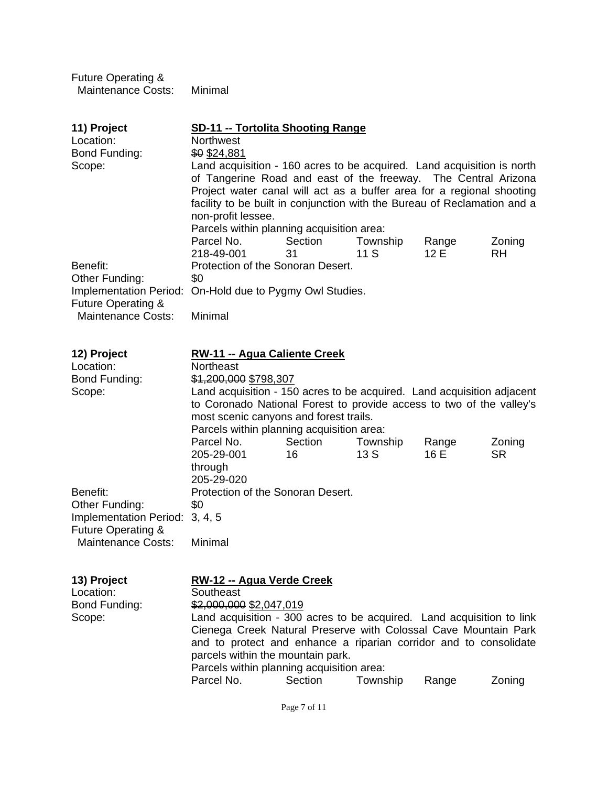Future Operating & Maintenance Costs: Minimal

| SD-11 -- Tortolita Shooting Range<br>11) Project<br>Location:<br>Northwest |                                                                                                                                          |         |          |       |           |  |
|----------------------------------------------------------------------------|------------------------------------------------------------------------------------------------------------------------------------------|---------|----------|-------|-----------|--|
| Bond Funding:<br>\$0 \$24,881                                              |                                                                                                                                          |         |          |       |           |  |
| Scope:                                                                     | Land acquisition - 160 acres to be acquired. Land acquisition is north                                                                   |         |          |       |           |  |
|                                                                            | of Tangerine Road and east of the freeway. The Central Arizona                                                                           |         |          |       |           |  |
|                                                                            | Project water canal will act as a buffer area for a regional shooting                                                                    |         |          |       |           |  |
|                                                                            | facility to be built in conjunction with the Bureau of Reclamation and a                                                                 |         |          |       |           |  |
|                                                                            | non-profit lessee.                                                                                                                       |         |          |       |           |  |
|                                                                            | Parcels within planning acquisition area:                                                                                                |         |          |       |           |  |
|                                                                            | Parcel No.                                                                                                                               | Section | Township | Range | Zoning    |  |
|                                                                            | 218-49-001                                                                                                                               | 31      | 11 S     | 12 E  | <b>RH</b> |  |
| Benefit:                                                                   | Protection of the Sonoran Desert.<br>\$0                                                                                                 |         |          |       |           |  |
| Other Funding:<br>Implementation Period: On-Hold due to Pygmy Owl Studies. |                                                                                                                                          |         |          |       |           |  |
| Future Operating &                                                         |                                                                                                                                          |         |          |       |           |  |
| <b>Maintenance Costs:</b>                                                  | Minimal                                                                                                                                  |         |          |       |           |  |
|                                                                            |                                                                                                                                          |         |          |       |           |  |
|                                                                            |                                                                                                                                          |         |          |       |           |  |
| 12) Project                                                                | <b>RW-11 -- Agua Caliente Creek</b>                                                                                                      |         |          |       |           |  |
| Location:                                                                  | Northeast                                                                                                                                |         |          |       |           |  |
| Bond Funding:<br>Scope:                                                    | \$1,200,000 \$798,307<br>Land acquisition - 150 acres to be acquired. Land acquisition adjacent                                          |         |          |       |           |  |
|                                                                            | to Coronado National Forest to provide access to two of the valley's                                                                     |         |          |       |           |  |
|                                                                            | most scenic canyons and forest trails.                                                                                                   |         |          |       |           |  |
|                                                                            | Parcels within planning acquisition area:                                                                                                |         |          |       |           |  |
|                                                                            | Parcel No.                                                                                                                               | Section | Township | Range | Zoning    |  |
|                                                                            | 205-29-001                                                                                                                               | 16      | 13 S     | 16 E  | <b>SR</b> |  |
|                                                                            | through                                                                                                                                  |         |          |       |           |  |
|                                                                            | 205-29-020                                                                                                                               |         |          |       |           |  |
| Benefit:                                                                   | Protection of the Sonoran Desert.                                                                                                        |         |          |       |           |  |
| Other Funding:                                                             | \$0                                                                                                                                      |         |          |       |           |  |
| Implementation Period: 3, 4, 5                                             |                                                                                                                                          |         |          |       |           |  |
| <b>Future Operating &amp;</b><br><b>Maintenance Costs:</b>                 | Minimal                                                                                                                                  |         |          |       |           |  |
|                                                                            |                                                                                                                                          |         |          |       |           |  |
|                                                                            |                                                                                                                                          |         |          |       |           |  |
| 13) Project                                                                | <b>RW-12 -- Agua Verde Creek</b>                                                                                                         |         |          |       |           |  |
| Location:                                                                  | Southeast                                                                                                                                |         |          |       |           |  |
| Bond Funding:                                                              | \$2,000,000 \$2,047,019                                                                                                                  |         |          |       |           |  |
| Scope:                                                                     | Land acquisition - 300 acres to be acquired. Land acquisition to link<br>Cienega Creek Natural Preserve with Colossal Cave Mountain Park |         |          |       |           |  |
|                                                                            | and to protect and enhance a riparian corridor and to consolidate                                                                        |         |          |       |           |  |
|                                                                            | parcels within the mountain park.                                                                                                        |         |          |       |           |  |
|                                                                            | Parcels within planning acquisition area:                                                                                                |         |          |       |           |  |
|                                                                            | Parcel No.                                                                                                                               | Section | Township | Range | Zoning    |  |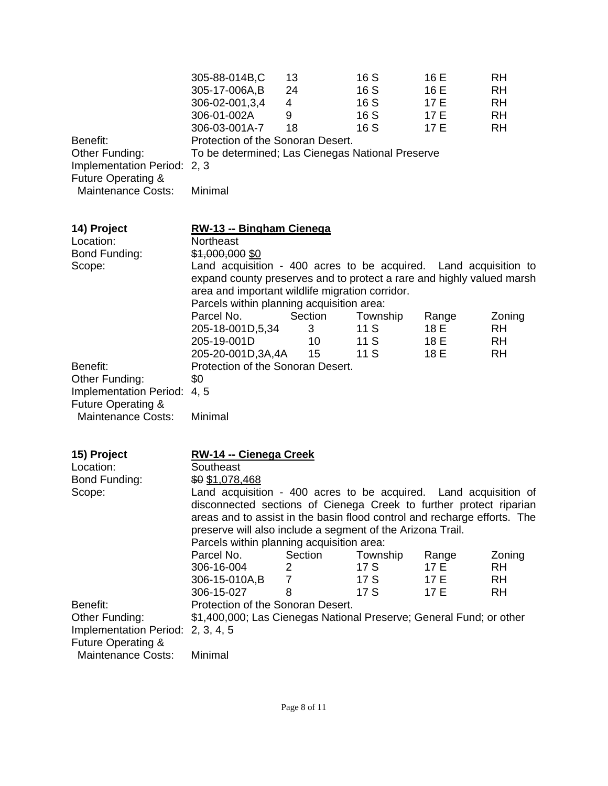| Benefit:<br>Other Funding:<br>Implementation Period: 2, 3<br>Future Operating &<br><b>Maintenance Costs:</b>       | 305-88-014B,C<br>305-17-006A,B<br>306-02-001,3,4<br>306-01-002A<br>306-03-001A-7<br>Protection of the Sonoran Desert.<br>To be determined; Las Cienegas National Preserve<br>Minimal                                                                                                                                                                                                                         | 13<br>24<br>4<br>9<br>18 | 16 S<br>16 S<br>16 S<br>16 S<br>16 S | 16 E<br>16 E<br>17E<br>17E<br>17 E | <b>RH</b><br><b>RH</b><br><b>RH</b><br><b>RH</b><br><b>RH</b> |
|--------------------------------------------------------------------------------------------------------------------|--------------------------------------------------------------------------------------------------------------------------------------------------------------------------------------------------------------------------------------------------------------------------------------------------------------------------------------------------------------------------------------------------------------|--------------------------|--------------------------------------|------------------------------------|---------------------------------------------------------------|
| 14) Project<br>Location:<br>Bond Funding:<br>Scope:                                                                | RW-13 -- Bingham Cienega<br>Northeast<br>\$1,000,000 \$0<br>Land acquisition - 400 acres to be acquired. Land acquisition to<br>expand county preserves and to protect a rare and highly valued marsh<br>area and important wildlife migration corridor.<br>Parcels within planning acquisition area:                                                                                                        |                          |                                      |                                    |                                                               |
| Benefit:<br>Other Funding:<br>Implementation Period:<br><b>Future Operating &amp;</b><br><b>Maintenance Costs:</b> | Parcel No.<br>205-18-001D, 5, 34<br>205-19-001D<br>205-20-001D,3A,4A<br>Protection of the Sonoran Desert.<br>\$0<br>4, 5<br>Minimal                                                                                                                                                                                                                                                                          | Section<br>3<br>10<br>15 | Township<br>11 S<br>11S<br>11S       | Range<br>18 E<br>18 E<br>18 E      | Zoning<br><b>RH</b><br><b>RH</b><br><b>RH</b>                 |
| 15) Project<br>Location:<br>Bond Funding:<br>Scope:                                                                | <b>RW-14 -- Cienega Creek</b><br>Southeast<br>\$0 \$1,078,468<br>Land acquisition - 400 acres to be acquired. Land acquisition of<br>disconnected sections of Cienega Creek to further protect riparian<br>areas and to assist in the basin flood control and recharge efforts. The<br>preserve will also include a segment of the Arizona Trail.<br>Parcels within planning acquisition area:<br>Parcel No. | Section                  | Township                             | Range                              | Zoning                                                        |
| Benefit:                                                                                                           | 306-16-004<br>306-15-010A,B<br>306-15-027<br>Protection of the Sonoran Desert.                                                                                                                                                                                                                                                                                                                               | 2<br>$\overline{7}$<br>8 | 17S<br>17S<br>17 S                   | 17 E<br>17 E<br>17 E               | <b>RH</b><br><b>RH</b><br><b>RH</b>                           |
| Other Funding:<br>Implementation Period: 2, 3, 4, 5<br><b>Future Operating &amp;</b><br><b>Maintenance Costs:</b>  | \$1,400,000; Las Cienegas National Preserve; General Fund; or other<br>Minimal                                                                                                                                                                                                                                                                                                                               |                          |                                      |                                    |                                                               |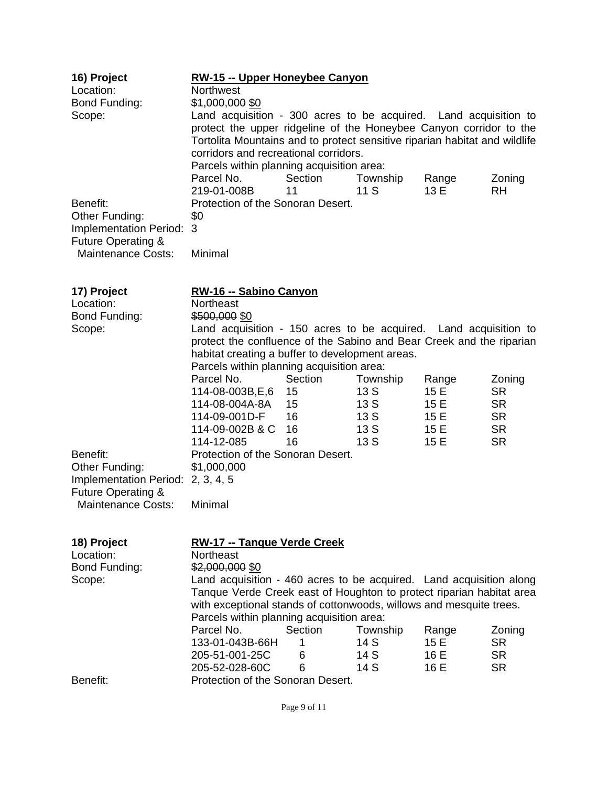| 16) Project                                                                             | RW-15 -- Upper Honeybee Canyon                                                                                                                                                                                                                                                                             |         |          |       |        |  |  |
|-----------------------------------------------------------------------------------------|------------------------------------------------------------------------------------------------------------------------------------------------------------------------------------------------------------------------------------------------------------------------------------------------------------|---------|----------|-------|--------|--|--|
| Location:                                                                               | <b>Northwest</b>                                                                                                                                                                                                                                                                                           |         |          |       |        |  |  |
| Bond Funding:                                                                           | \$1,000,000 \$0                                                                                                                                                                                                                                                                                            |         |          |       |        |  |  |
| Scope:                                                                                  | Land acquisition - 300 acres to be acquired. Land acquisition to<br>protect the upper ridgeline of the Honeybee Canyon corridor to the<br>Tortolita Mountains and to protect sensitive riparian habitat and wildlife<br>corridors and recreational corridors.<br>Parcels within planning acquisition area: |         |          |       |        |  |  |
|                                                                                         | Parcel No.                                                                                                                                                                                                                                                                                                 | Section | Township | Range | Zoning |  |  |
|                                                                                         | 219-01-008B                                                                                                                                                                                                                                                                                                | 11      | 11 S     | 13 E  | RH.    |  |  |
| Benefit:<br>Other Funding:<br>Implementation Period: 3<br><b>Future Operating &amp;</b> | Protection of the Sonoran Desert.<br>\$0                                                                                                                                                                                                                                                                   |         |          |       |        |  |  |
| <b>Maintenance Costs:</b>                                                               | Minimal                                                                                                                                                                                                                                                                                                    |         |          |       |        |  |  |
| 17) Project                                                                             | RW-16 -- Sabino Canyon                                                                                                                                                                                                                                                                                     |         |          |       |        |  |  |
| Location:                                                                               | Northeast                                                                                                                                                                                                                                                                                                  |         |          |       |        |  |  |
| Bond Funding:                                                                           | \$500,000 \$0                                                                                                                                                                                                                                                                                              |         |          |       |        |  |  |
| Scope:                                                                                  | Land acquisition - 150 acres to be acquired. Land acquisition to<br>protect the confluence of the Sabino and Bear Creek and the riparian<br>habitat creating a buffer to development areas.<br>Parcels within planning acquisition area:                                                                   |         |          |       |        |  |  |

|                                   | Parcel No.                        | Section | Township | Range | Zoning    |  |  |
|-----------------------------------|-----------------------------------|---------|----------|-------|-----------|--|--|
|                                   | 114-08-003B,E,6                   | -15     | 13 S     | 15 E  | <b>SR</b> |  |  |
|                                   | 114-08-004A-8A                    | 15      | 13S      | 15 E  | <b>SR</b> |  |  |
|                                   | 114-09-001D-F                     | 16      | 13S      | 15 E  | <b>SR</b> |  |  |
|                                   | 114-09-002B & C                   | 16      | 13S      | 15 E  | <b>SR</b> |  |  |
|                                   | 114-12-085                        | 16      | 13S      | 15 E  | <b>SR</b> |  |  |
| Benefit:                          | Protection of the Sonoran Desert. |         |          |       |           |  |  |
| Other Funding:                    | \$1,000,000                       |         |          |       |           |  |  |
| Implementation Period: 2, 3, 4, 5 |                                   |         |          |       |           |  |  |
| <b>Future Operating &amp;</b>     |                                   |         |          |       |           |  |  |
|                                   |                                   |         |          |       |           |  |  |

Maintenance Costs: Minimal

| 18) Project<br>Location:<br>Bond Funding:<br>Scope: | <b>RW-17 -- Tanque Verde Creek</b><br>Northeast<br>\$2,000,000 \$0<br>Land acquisition - 460 acres to be acquired. Land acquisition along<br>Tanque Verde Creek east of Houghton to protect riparian habitat area<br>with exceptional stands of cottonwoods, willows and mesquite trees.<br>Parcels within planning acquisition area:<br>Parcel No.<br>133-01-043B-66H<br>205-51-001-25C<br>205-52-028-60C | Section<br>6<br>6 | Township<br>14 S<br>14S<br>14 S | Range<br>15 E<br>16 E<br>16 E | Zoning<br><b>SR</b><br><b>SR</b><br><b>SR</b> |
|-----------------------------------------------------|------------------------------------------------------------------------------------------------------------------------------------------------------------------------------------------------------------------------------------------------------------------------------------------------------------------------------------------------------------------------------------------------------------|-------------------|---------------------------------|-------------------------------|-----------------------------------------------|
| Benefit:                                            | Protection of the Sonoran Desert.                                                                                                                                                                                                                                                                                                                                                                          |                   |                                 |                               |                                               |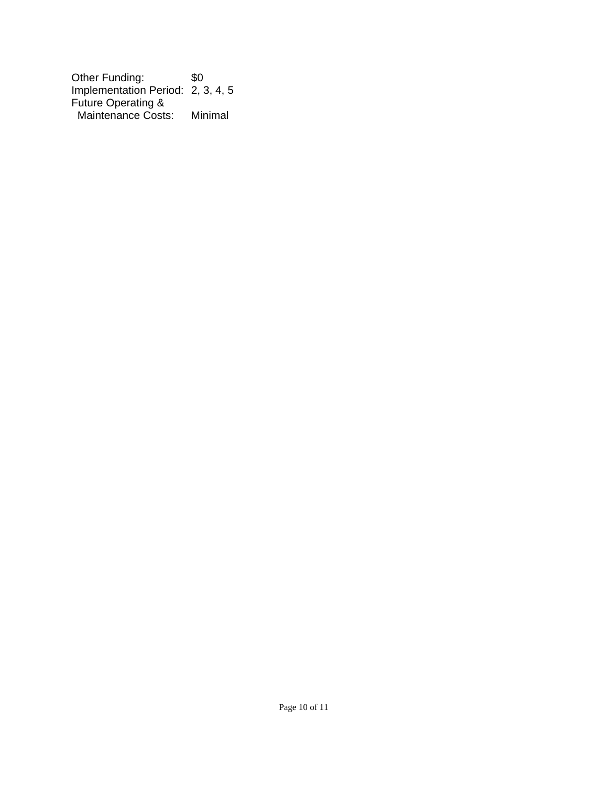Other Funding: \$0 Implementation Period: 2, 3, 4, 5 Future Operating & Maintenance Costs: Minimal